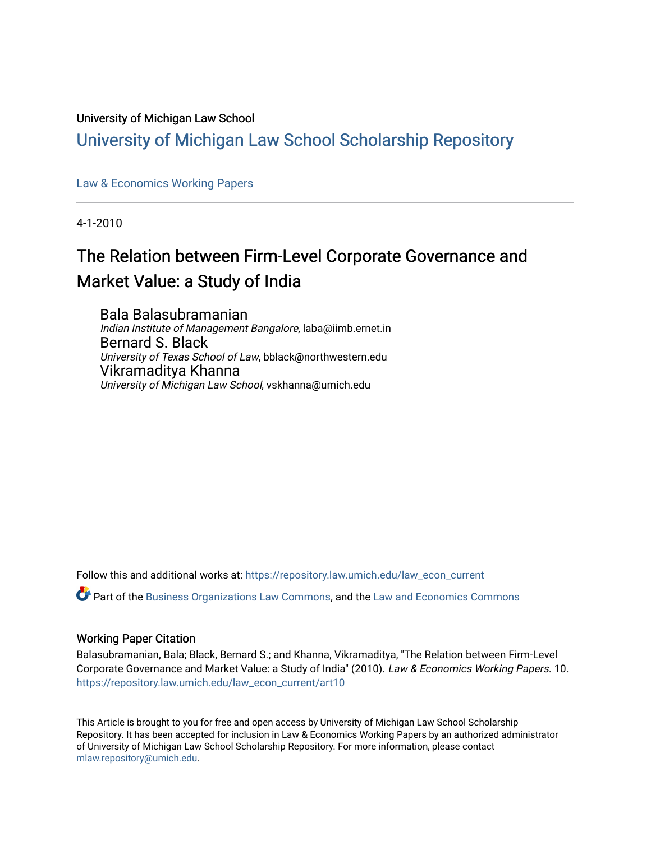# University of Michigan Law School

# [University of Michigan Law School Scholarship Repository](https://repository.law.umich.edu/)

# [Law & Economics Working Papers](https://repository.law.umich.edu/law_econ_current)

4-1-2010

# The Relation between Firm-Level Corporate Governance and Market Value: a Study of India

Bala Balasubramanian Indian Institute of Management Bangalore, laba@iimb.ernet.in Bernard S. Black University of Texas School of Law, bblack@northwestern.edu Vikramaditya Khanna University of Michigan Law School, vskhanna@umich.edu

Follow this and additional works at: [https://repository.law.umich.edu/law\\_econ\\_current](https://repository.law.umich.edu/law_econ_current?utm_source=repository.law.umich.edu%2Flaw_econ_current%2Fart10&utm_medium=PDF&utm_campaign=PDFCoverPages) 

Part of the [Business Organizations Law Commons](http://network.bepress.com/hgg/discipline/900?utm_source=repository.law.umich.edu%2Flaw_econ_current%2Fart10&utm_medium=PDF&utm_campaign=PDFCoverPages), and the [Law and Economics Commons](http://network.bepress.com/hgg/discipline/612?utm_source=repository.law.umich.edu%2Flaw_econ_current%2Fart10&utm_medium=PDF&utm_campaign=PDFCoverPages) 

## Working Paper Citation

Balasubramanian, Bala; Black, Bernard S.; and Khanna, Vikramaditya, "The Relation between Firm-Level Corporate Governance and Market Value: a Study of India" (2010). Law & Economics Working Papers. 10. [https://repository.law.umich.edu/law\\_econ\\_current/art10](https://repository.law.umich.edu/law_econ_current/art10?utm_source=repository.law.umich.edu%2Flaw_econ_current%2Fart10&utm_medium=PDF&utm_campaign=PDFCoverPages)

This Article is brought to you for free and open access by University of Michigan Law School Scholarship Repository. It has been accepted for inclusion in Law & Economics Working Papers by an authorized administrator of University of Michigan Law School Scholarship Repository. For more information, please contact [mlaw.repository@umich.edu.](mailto:mlaw.repository@umich.edu)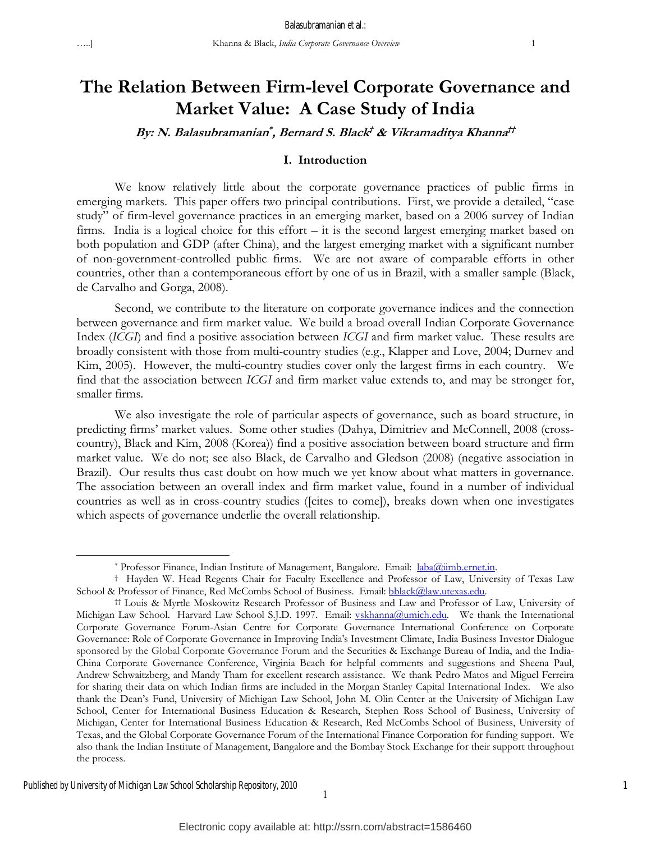1

# **The Relation Between Firm-level Corporate Governance and Market Value: A Case Study of India**

# **By: N. Balasubramanian\* , Bernard S. Black† & Vikramaditya Khanna††**

#### **I. Introduction**

We know relatively little about the corporate governance practices of public firms in emerging markets. This paper offers two principal contributions. First, we provide a detailed, "case study" of firm-level governance practices in an emerging market, based on a 2006 survey of Indian firms. India is a logical choice for this effort – it is the second largest emerging market based on both population and GDP (after China), and the largest emerging market with a significant number of non-government-controlled public firms. We are not aware of comparable efforts in other countries, other than a contemporaneous effort by one of us in Brazil, with a smaller sample (Black, de Carvalho and Gorga, 2008).

Second, we contribute to the literature on corporate governance indices and the connection between governance and firm market value. We build a broad overall Indian Corporate Governance Index (*ICGI*) and find a positive association between *ICGI* and firm market value. These results are broadly consistent with those from multi-country studies (e.g., Klapper and Love, 2004; Durnev and Kim, 2005). However, the multi-country studies cover only the largest firms in each country. We find that the association between *ICGI* and firm market value extends to, and may be stronger for, smaller firms.

We also investigate the role of particular aspects of governance, such as board structure, in predicting firms' market values. Some other studies (Dahya, Dimitriev and McConnell, 2008 (crosscountry), Black and Kim, 2008 (Korea)) find a positive association between board structure and firm market value. We do not; see also Black, de Carvalho and Gledson (2008) (negative association in Brazil). Our results thus cast doubt on how much we yet know about what matters in governance. The association between an overall index and firm market value, found in a number of individual countries as well as in cross-country studies ([cites to come]), breaks down when one investigates which aspects of governance underlie the overall relationship.

 $\overline{a}$ 

<sup>\*</sup> Professor Finance, Indian Institute of Management, Bangalore. Email: laba@iimb.ernet.in.<br>† Hayden W. Head Regents Chair for Faculty Excellence and Professor of Law, University of Texas Law School & Professor of Finance, Red McCombs School of Business. Email: **bblack@law.utexas.edu.**<br>
†† Louis & Myrtle Moskowitz Research Professor of Business and Law and Professor of Law, University of

Michigan Law School. Harvard Law School S.J.D. 1997. Email: vskhanna@umich.edu. We thank the International Corporate Governance Forum-Asian Centre for Corporate Governance International Conference on Corporate Governance: Role of Corporate Governance in Improving India's Investment Climate, India Business Investor Dialogue sponsored by the Global Corporate Governance Forum and the Securities & Exchange Bureau of India, and the India-China Corporate Governance Conference, Virginia Beach for helpful comments and suggestions and Sheena Paul, Andrew Schwaitzberg, and Mandy Tham for excellent research assistance. We thank Pedro Matos and Miguel Ferreira for sharing their data on which Indian firms are included in the Morgan Stanley Capital International Index. We also thank the Dean's Fund, University of Michigan Law School, John M. Olin Center at the University of Michigan Law School, Center for International Business Education & Research, Stephen Ross School of Business, University of Michigan, Center for International Business Education & Research, Red McCombs School of Business, University of Texas, and the Global Corporate Governance Forum of the International Finance Corporation for funding support. We also thank the Indian Institute of Management, Bangalore and the Bombay Stock Exchange for their support throughout the process.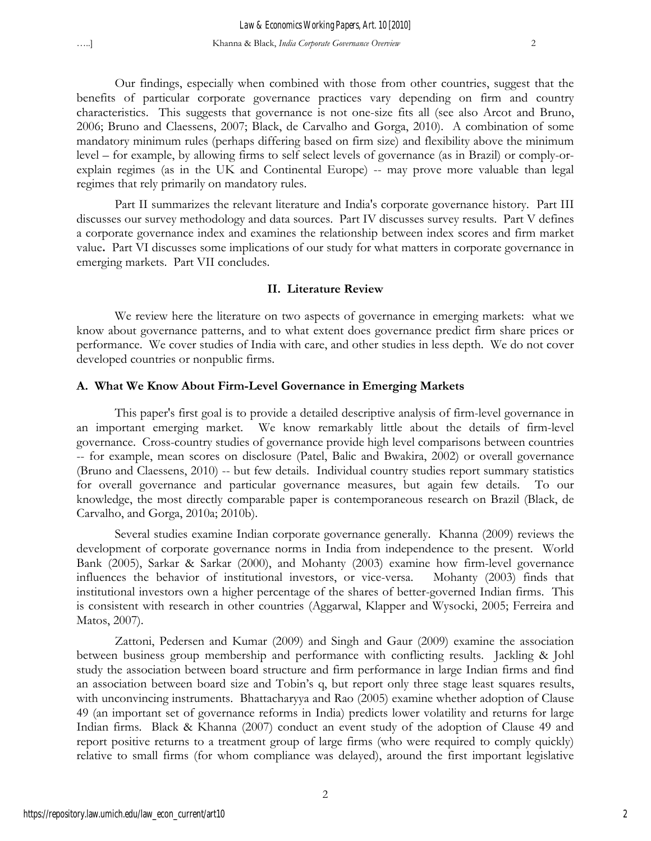Our findings, especially when combined with those from other countries, suggest that the benefits of particular corporate governance practices vary depending on firm and country characteristics. This suggests that governance is not one-size fits all (see also Arcot and Bruno, 2006; Bruno and Claessens, 2007; Black, de Carvalho and Gorga, 2010). A combination of some mandatory minimum rules (perhaps differing based on firm size) and flexibility above the minimum level – for example, by allowing firms to self select levels of governance (as in Brazil) or comply-orexplain regimes (as in the UK and Continental Europe) -- may prove more valuable than legal regimes that rely primarily on mandatory rules.

Part II summarizes the relevant literature and India's corporate governance history. Part III discusses our survey methodology and data sources. Part IV discusses survey results. Part V defines a corporate governance index and examines the relationship between index scores and firm market value**.** Part VI discusses some implications of our study for what matters in corporate governance in emerging markets. Part VII concludes.

#### **II. Literature Review**

We review here the literature on two aspects of governance in emerging markets: what we know about governance patterns, and to what extent does governance predict firm share prices or performance. We cover studies of India with care, and other studies in less depth. We do not cover developed countries or nonpublic firms.

#### **A. What We Know About Firm-Level Governance in Emerging Markets**

This paper's first goal is to provide a detailed descriptive analysis of firm-level governance in an important emerging market. We know remarkably little about the details of firm-level governance. Cross-country studies of governance provide high level comparisons between countries -- for example, mean scores on disclosure (Patel, Balic and Bwakira, 2002) or overall governance (Bruno and Claessens, 2010) -- but few details. Individual country studies report summary statistics for overall governance and particular governance measures, but again few details. To our knowledge, the most directly comparable paper is contemporaneous research on Brazil (Black, de Carvalho, and Gorga, 2010a; 2010b).

Several studies examine Indian corporate governance generally. Khanna (2009) reviews the development of corporate governance norms in India from independence to the present. World Bank (2005), Sarkar & Sarkar (2000), and Mohanty (2003) examine how firm-level governance influences the behavior of institutional investors, or vice-versa. Mohanty (2003) finds that institutional investors own a higher percentage of the shares of better-governed Indian firms. This is consistent with research in other countries (Aggarwal, Klapper and Wysocki, 2005; Ferreira and Matos, 2007).

Zattoni, Pedersen and Kumar (2009) and Singh and Gaur (2009) examine the association between business group membership and performance with conflicting results. Jackling & Johl study the association between board structure and firm performance in large Indian firms and find an association between board size and Tobin's q, but report only three stage least squares results, with unconvincing instruments. Bhattacharyya and Rao (2005) examine whether adoption of Clause 49 (an important set of governance reforms in India) predicts lower volatility and returns for large Indian firms. Black & Khanna (2007) conduct an event study of the adoption of Clause 49 and report positive returns to a treatment group of large firms (who were required to comply quickly) relative to small firms (for whom compliance was delayed), around the first important legislative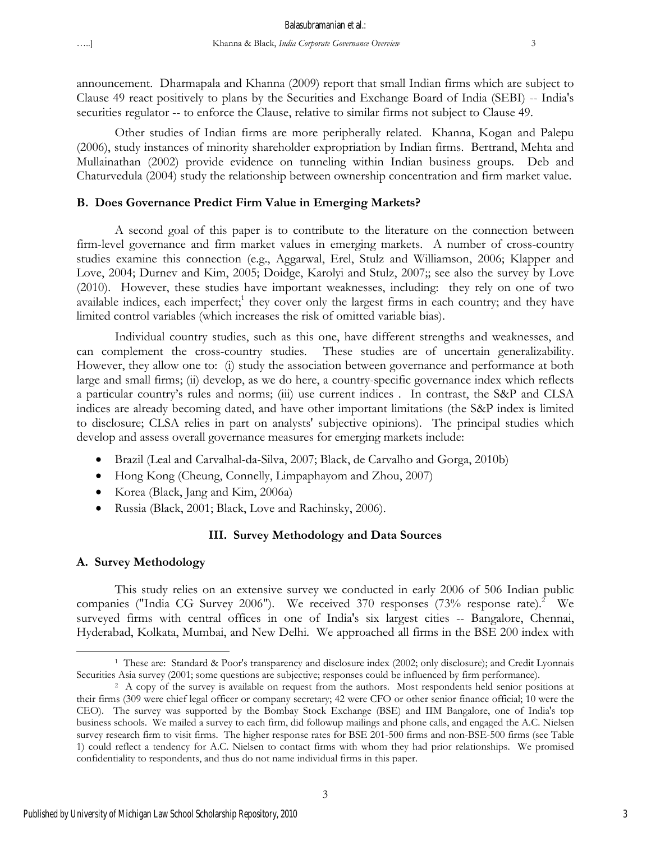announcement. Dharmapala and Khanna (2009) report that small Indian firms which are subject to Clause 49 react positively to plans by the Securities and Exchange Board of India (SEBI) -- India's securities regulator -- to enforce the Clause, relative to similar firms not subject to Clause 49.

Other studies of Indian firms are more peripherally related. Khanna, Kogan and Palepu (2006), study instances of minority shareholder expropriation by Indian firms. Bertrand, Mehta and Mullainathan (2002) provide evidence on tunneling within Indian business groups. Deb and Chaturvedula (2004) study the relationship between ownership concentration and firm market value.

# **B. Does Governance Predict Firm Value in Emerging Markets?**

A second goal of this paper is to contribute to the literature on the connection between firm-level governance and firm market values in emerging markets. A number of cross-country studies examine this connection (e.g., Aggarwal, Erel, Stulz and Williamson, 2006; Klapper and Love, 2004; Durnev and Kim, 2005; Doidge, Karolyi and Stulz, 2007;; see also the survey by Love (2010). However, these studies have important weaknesses, including: they rely on one of two available indices, each imperfect;<sup>1</sup> they cover only the largest firms in each country; and they have limited control variables (which increases the risk of omitted variable bias).

Individual country studies, such as this one, have different strengths and weaknesses, and can complement the cross-country studies. These studies are of uncertain generalizability. However, they allow one to: (i) study the association between governance and performance at both large and small firms; (ii) develop, as we do here, a country-specific governance index which reflects a particular country's rules and norms; (iii) use current indices . In contrast, the S&P and CLSA indices are already becoming dated, and have other important limitations (the S&P index is limited to disclosure; CLSA relies in part on analysts' subjective opinions). The principal studies which develop and assess overall governance measures for emerging markets include:

- Brazil (Leal and Carvalhal-da-Silva, 2007; Black, de Carvalho and Gorga, 2010b)
- Hong Kong (Cheung, Connelly, Limpaphayom and Zhou, 2007)
- Korea (Black, Jang and Kim, 2006a)
- Russia (Black, 2001; Black, Love and Rachinsky, 2006).

# **III. Survey Methodology and Data Sources**

# **A. Survey Methodology**

1

This study relies on an extensive survey we conducted in early 2006 of 506 Indian public companies ("India CG Survey 2006"). We received 370 responses  $(73\%$  response rate).<sup>2</sup> We surveyed firms with central offices in one of India's six largest cities -- Bangalore, Chennai, Hyderabad, Kolkata, Mumbai, and New Delhi. We approached all firms in the BSE 200 index with

<sup>1</sup> These are: Standard & Poor's transparency and disclosure index (2002; only disclosure); and Credit Lyonnais

Securities Asia survey (2001; some questions are subjective; responses could be influenced by firm performance).<br><sup>2</sup> A copy of the survey is available on request from the authors. Most respondents held senior positions at their firms (309 were chief legal officer or company secretary; 42 were CFO or other senior finance official; 10 were the CEO). The survey was supported by the Bombay Stock Exchange (BSE) and IIM Bangalore, one of India's top business schools. We mailed a survey to each firm, did followup mailings and phone calls, and engaged the A.C. Nielsen survey research firm to visit firms. The higher response rates for BSE 201-500 firms and non-BSE-500 firms (see Table 1) could reflect a tendency for A.C. Nielsen to contact firms with whom they had prior relationships. We promised confidentiality to respondents, and thus do not name individual firms in this paper.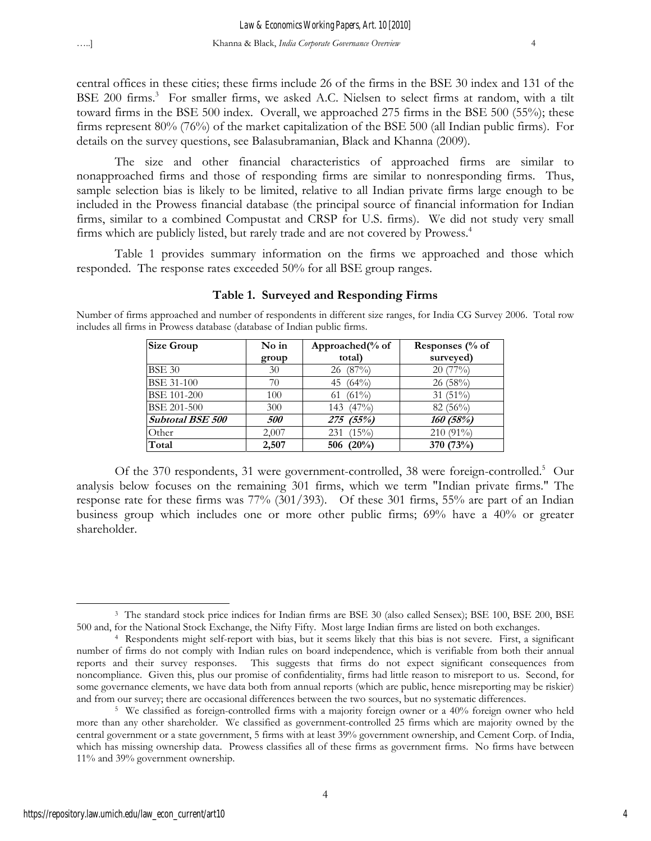central offices in these cities; these firms include 26 of the firms in the BSE 30 index and 131 of the BSE 200 firms.<sup>3</sup> For smaller firms, we asked A.C. Nielsen to select firms at random, with a tilt toward firms in the BSE 500 index. Overall, we approached 275 firms in the BSE 500 (55%); these firms represent 80% (76%) of the market capitalization of the BSE 500 (all Indian public firms). For details on the survey questions, see Balasubramanian, Black and Khanna (2009).

The size and other financial characteristics of approached firms are similar to nonapproached firms and those of responding firms are similar to nonresponding firms. Thus, sample selection bias is likely to be limited, relative to all Indian private firms large enough to be included in the Prowess financial database (the principal source of financial information for Indian firms, similar to a combined Compustat and CRSP for U.S. firms). We did not study very small firms which are publicly listed, but rarely trade and are not covered by Prowess.<sup>4</sup>

Table 1 provides summary information on the firms we approached and those which responded. The response rates exceeded 50% for all BSE group ranges.

| Size Group              | No in | Approached(% of | Responses $\frac{6}{6}$ of |
|-------------------------|-------|-----------------|----------------------------|
|                         | group | total)          | surveyed)                  |
| <b>BSE 30</b>           | 30    | 26 (87%)        | 20(77%)                    |
| <b>BSE 31-100</b>       | 70    | 45 $(64\%)$     | 26(58%)                    |
| <b>BSE 101-200</b>      | 100   | $(61\%)$<br>61  | $31(51\%)$                 |
| <b>BSE 201-500</b>      | 300   | $(47\%)$<br>143 | $82(56\%)$                 |
| <b>Subtotal BSE 500</b> | 500   | 275 (55%)       | 160(58%)                   |
| Other                   | 2,007 | $(15\%)$<br>231 | $210(91\%)$                |
| Total                   | 2,507 | 506 $(20\%)$    | 370 (73%)                  |

#### **Table 1. Surveyed and Responding Firms**

Number of firms approached and number of respondents in different size ranges, for India CG Survey 2006. Total row includes all firms in Prowess database (database of Indian public firms.

Of the 370 respondents, 31 were government-controlled, 38 were foreign-controlled.<sup>5</sup> Our analysis below focuses on the remaining 301 firms, which we term "Indian private firms." The response rate for these firms was 77% (301/393). Of these 301 firms, 55% are part of an Indian business group which includes one or more other public firms; 69% have a 40% or greater shareholder.

<sup>1</sup> <sup>3</sup> The standard stock price indices for Indian firms are BSE 30 (also called Sensex); BSE 100, BSE 200, BSE 500 and, for the National Stock Exchange, the Nifty Fifty. Most large Indian firms are listed on both exchanges.

<sup>&</sup>lt;sup>4</sup> Respondents might self-report with bias, but it seems likely that this bias is not severe. First, a significant number of firms do not comply with Indian rules on board independence, which is verifiable from both their annual reports and their survey responses. This suggests that firms do not expect significant consequences from noncompliance. Given this, plus our promise of confidentiality, firms had little reason to misreport to us. Second, for some governance elements, we have data both from annual reports (which are public, hence misreporting may be riskier) and from our survey; there are occasional differences between the two sources, but no systematic differences.<br><sup>5</sup> We classified as foreign-controlled firms with a majority foreign owner or a 40% foreign owner who held

more than any other shareholder. We classified as government-controlled 25 firms which are majority owned by the central government or a state government, 5 firms with at least 39% government ownership, and Cement Corp. of India, which has missing ownership data. Prowess classifies all of these firms as government firms. No firms have between 11% and 39% government ownership.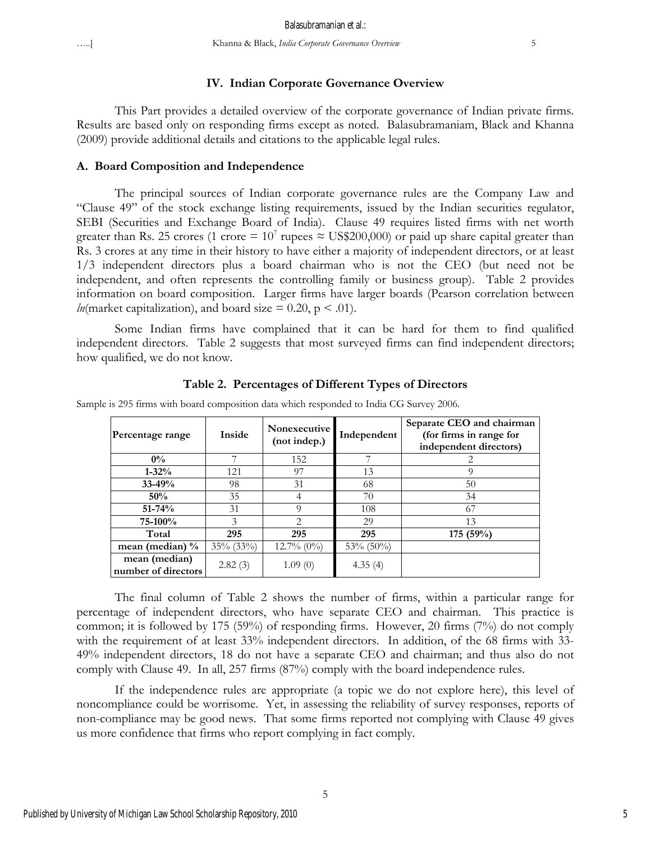#### **IV. Indian Corporate Governance Overview**

This Part provides a detailed overview of the corporate governance of Indian private firms. Results are based only on responding firms except as noted. Balasubramaniam, Black and Khanna (2009) provide additional details and citations to the applicable legal rules.

#### **A. Board Composition and Independence**

The principal sources of Indian corporate governance rules are the Company Law and "Clause 49" of the stock exchange listing requirements, issued by the Indian securities regulator, SEBI (Securities and Exchange Board of India). Clause 49 requires listed firms with net worth greater than Rs. 25 crores (1 crore =  $10^7$  rupees  $\approx$  US\$200,000) or paid up share capital greater than Rs. 3 crores at any time in their history to have either a majority of independent directors, or at least 1/3 independent directors plus a board chairman who is not the CEO (but need not be independent, and often represents the controlling family or business group). Table 2 provides information on board composition. Larger firms have larger boards (Pearson correlation between *ln*(market capitalization), and board size  $= 0.20$ ,  $p < .01$ ).

Some Indian firms have complained that it can be hard for them to find qualified independent directors. Table 2 suggests that most surveyed firms can find independent directors; how qualified, we do not know.

| Percentage range                     | <b>Inside</b> | <b>Nonexecutive</b><br>(not indep.) | Independent  | Separate CEO and chairman<br>(for firms in range for<br>independent directors) |
|--------------------------------------|---------------|-------------------------------------|--------------|--------------------------------------------------------------------------------|
| $0\%$                                |               | 152                                 |              |                                                                                |
| $1 - 32\%$                           | 121           | 97                                  | 13           | 9                                                                              |
| $33 - 49%$                           | 98            | 31                                  | 68           | 50                                                                             |
| 50%                                  | 35            | 4                                   | 70           | 34                                                                             |
| $51 - 74%$                           | 31            | Q                                   | 108          | 67                                                                             |
| 75-100%                              | 3             | $\mathcal{D}_{\mathcal{A}}$         | 29           | 13                                                                             |
| Total                                | 295           | 295                                 | 295          | 175(59%)                                                                       |
| mean (median) $\%$                   | $35\%$ (33%)  | $12.7\% (0\%)$                      | $53\%$ (50%) |                                                                                |
| mean (median)<br>number of directors | 2.82(3)       | 1.09(0)                             | 4.35(4)      |                                                                                |

**Table 2. Percentages of Different Types of Directors** 

Sample is 295 firms with board composition data which responded to India CG Survey 2006.

The final column of Table 2 shows the number of firms, within a particular range for percentage of independent directors, who have separate CEO and chairman. This practice is common; it is followed by 175 (59%) of responding firms. However, 20 firms (7%) do not comply with the requirement of at least 33% independent directors. In addition, of the 68 firms with 33-49% independent directors, 18 do not have a separate CEO and chairman; and thus also do not comply with Clause 49. In all, 257 firms (87%) comply with the board independence rules.

If the independence rules are appropriate (a topic we do not explore here), this level of noncompliance could be worrisome. Yet, in assessing the reliability of survey responses, reports of non-compliance may be good news. That some firms reported not complying with Clause 49 gives us more confidence that firms who report complying in fact comply.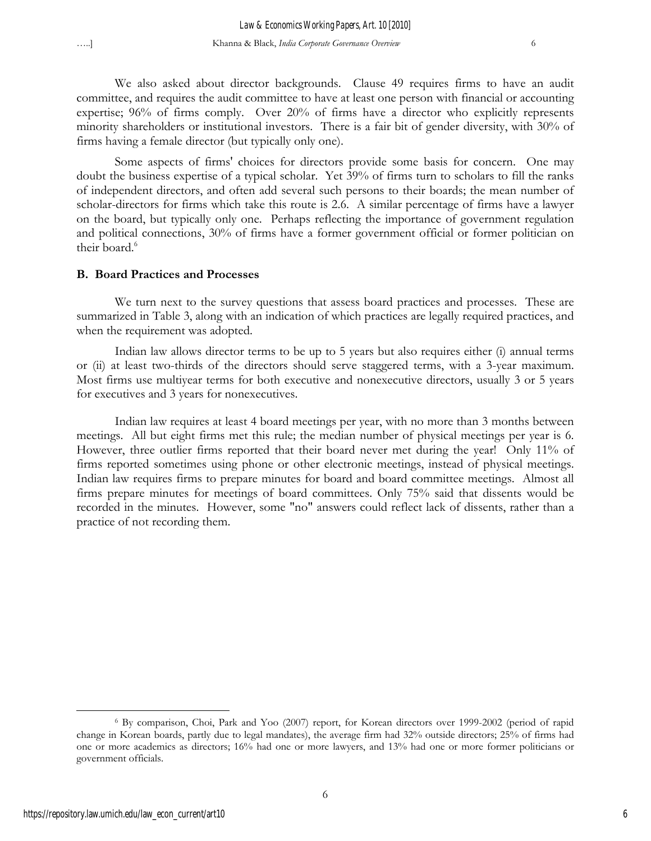We also asked about director backgrounds. Clause 49 requires firms to have an audit committee, and requires the audit committee to have at least one person with financial or accounting expertise; 96% of firms comply. Over 20% of firms have a director who explicitly represents minority shareholders or institutional investors. There is a fair bit of gender diversity, with 30% of firms having a female director (but typically only one).

Some aspects of firms' choices for directors provide some basis for concern. One may doubt the business expertise of a typical scholar. Yet 39% of firms turn to scholars to fill the ranks of independent directors, and often add several such persons to their boards; the mean number of scholar-directors for firms which take this route is 2.6. A similar percentage of firms have a lawyer on the board, but typically only one. Perhaps reflecting the importance of government regulation and political connections, 30% of firms have a former government official or former politician on their board.<sup>6</sup>

#### **B. Board Practices and Processes**

We turn next to the survey questions that assess board practices and processes. These are summarized in Table 3, along with an indication of which practices are legally required practices, and when the requirement was adopted.

Indian law allows director terms to be up to 5 years but also requires either (i) annual terms or (ii) at least two-thirds of the directors should serve staggered terms, with a 3-year maximum. Most firms use multiyear terms for both executive and nonexecutive directors, usually 3 or 5 years for executives and 3 years for nonexecutives.

Indian law requires at least 4 board meetings per year, with no more than 3 months between meetings. All but eight firms met this rule; the median number of physical meetings per year is 6. However, three outlier firms reported that their board never met during the year! Only 11% of firms reported sometimes using phone or other electronic meetings, instead of physical meetings. Indian law requires firms to prepare minutes for board and board committee meetings. Almost all firms prepare minutes for meetings of board committees. Only 75% said that dissents would be recorded in the minutes. However, some "no" answers could reflect lack of dissents, rather than a practice of not recording them.

<sup>6</sup> By comparison, Choi, Park and Yoo (2007) report, for Korean directors over 1999-2002 (period of rapid change in Korean boards, partly due to legal mandates), the average firm had 32% outside directors; 25% of firms had one or more academics as directors; 16% had one or more lawyers, and 13% had one or more former politicians or government officials.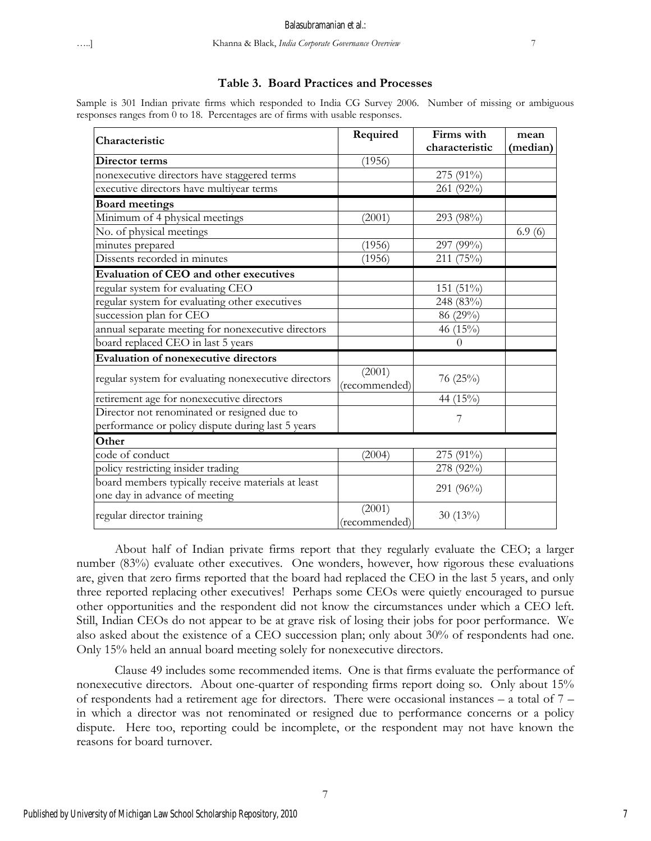# …..] Khanna & Black, *India Corporate Governance Overview* 7

# **Table 3. Board Practices and Processes**

Sample is 301 Indian private firms which responded to India CG Survey 2006. Number of missing or ambiguous responses ranges from 0 to 18. Percentages are of firms with usable responses.

| Characteristic                                                                                   | Required                | Firms with<br>characteristic | mean<br>(median) |
|--------------------------------------------------------------------------------------------------|-------------------------|------------------------------|------------------|
| Director terms                                                                                   | (1956)                  |                              |                  |
| nonexecutive directors have staggered terms                                                      |                         | 275 (91%)                    |                  |
| executive directors have multiyear terms                                                         |                         | 261 (92%)                    |                  |
| <b>Board meetings</b>                                                                            |                         |                              |                  |
| Minimum of 4 physical meetings                                                                   | (2001)                  | 293 (98%)                    |                  |
| No. of physical meetings                                                                         |                         |                              | 6.9(6)           |
| minutes prepared                                                                                 | (1956)                  | 297 (99%)                    |                  |
| Dissents recorded in minutes                                                                     | (1956)                  | 211 (75%)                    |                  |
| Evaluation of CEO and other executives                                                           |                         |                              |                  |
| regular system for evaluating CEO                                                                |                         | 151 (51%)                    |                  |
| regular system for evaluating other executives                                                   |                         | 248 (83%)                    |                  |
| succession plan for CEO                                                                          |                         | 86 (29%)                     |                  |
| annual separate meeting for nonexecutive directors                                               |                         | 46 (15%)                     |                  |
| board replaced CEO in last 5 years                                                               |                         | $\theta$                     |                  |
| <b>Evaluation of nonexecutive directors</b>                                                      |                         |                              |                  |
| regular system for evaluating nonexecutive directors                                             | (2001)<br>(recommended) | 76 (25%)                     |                  |
| retirement age for nonexecutive directors                                                        |                         | 44 (15%)                     |                  |
| Director not renominated or resigned due to<br>performance or policy dispute during last 5 years |                         | 7                            |                  |
| Other                                                                                            |                         |                              |                  |
| code of conduct                                                                                  | (2004)                  | 275 (91%)                    |                  |
| policy restricting insider trading                                                               |                         | 278 (92%)                    |                  |
| board members typically receive materials at least<br>one day in advance of meeting              |                         | 291 (96%)                    |                  |
| regular director training                                                                        | (2001)<br>(recommended) | $30(13\%)$                   |                  |

About half of Indian private firms report that they regularly evaluate the CEO; a larger number (83%) evaluate other executives. One wonders, however, how rigorous these evaluations are, given that zero firms reported that the board had replaced the CEO in the last 5 years, and only three reported replacing other executives! Perhaps some CEOs were quietly encouraged to pursue other opportunities and the respondent did not know the circumstances under which a CEO left. Still, Indian CEOs do not appear to be at grave risk of losing their jobs for poor performance. We also asked about the existence of a CEO succession plan; only about 30% of respondents had one. Only 15% held an annual board meeting solely for nonexecutive directors.

Clause 49 includes some recommended items. One is that firms evaluate the performance of nonexecutive directors. About one-quarter of responding firms report doing so. Only about 15% of respondents had a retirement age for directors. There were occasional instances – a total of 7 – in which a director was not renominated or resigned due to performance concerns or a policy dispute. Here too, reporting could be incomplete, or the respondent may not have known the reasons for board turnover.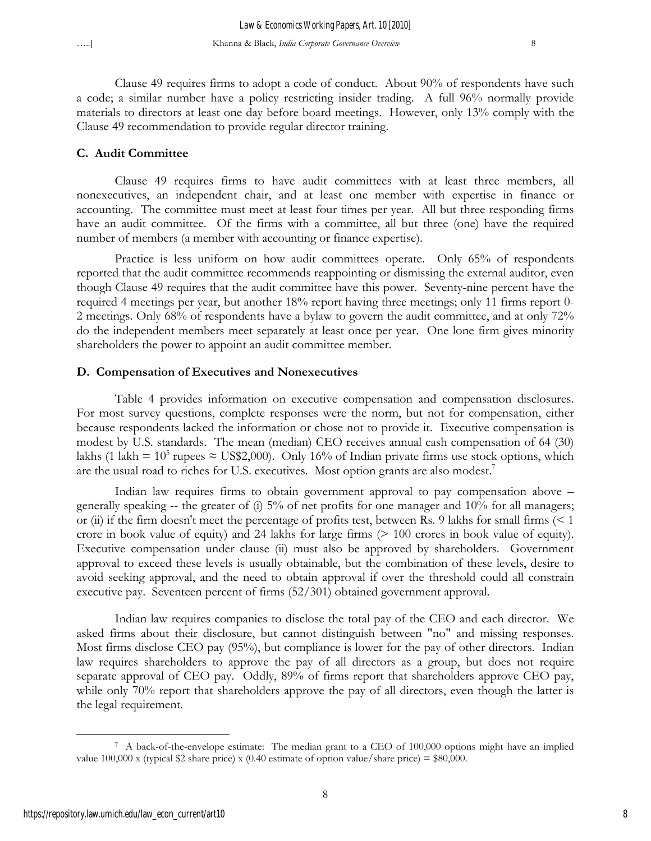Clause 49 requires firms to adopt a code of conduct. About 90% of respondents have such a code; a similar number have a policy restricting insider trading. A full 96% normally provide materials to directors at least one day before board meetings. However, only 13% comply with the Clause 49 recommendation to provide regular director training.

#### **C. Audit Committee**

Clause 49 requires firms to have audit committees with at least three members, all nonexecutives, an independent chair, and at least one member with expertise in finance or accounting. The committee must meet at least four times per year. All but three responding firms have an audit committee. Of the firms with a committee, all but three (one) have the required number of members (a member with accounting or finance expertise).

Practice is less uniform on how audit committees operate. Only 65% of respondents reported that the audit committee recommends reappointing or dismissing the external auditor, even though Clause 49 requires that the audit committee have this power. Seventy-nine percent have the required 4 meetings per year, but another 18% report having three meetings; only 11 firms report 0- 2 meetings. Only 68% of respondents have a bylaw to govern the audit committee, and at only 72% do the independent members meet separately at least once per year. One lone firm gives minority shareholders the power to appoint an audit committee member.

#### **D. Compensation of Executives and Nonexecutives**

Table 4 provides information on executive compensation and compensation disclosures. For most survey questions, complete responses were the norm, but not for compensation, either because respondents lacked the information or chose not to provide it. Executive compensation is modest by U.S. standards. The mean (median) CEO receives annual cash compensation of 64 (30) lakhs (1 lakh =  $10^5$  rupees  $\approx$  US\$2,000). Only 16% of Indian private firms use stock options, which are the usual road to riches for U.S. executives. Most option grants are also modest.<sup>7</sup>

Indian law requires firms to obtain government approval to pay compensation above – generally speaking -- the greater of (i) 5% of net profits for one manager and 10% for all managers; or (ii) if the firm doesn't meet the percentage of profits test, between Rs. 9 lakhs for small firms (< 1 crore in book value of equity) and 24 lakhs for large firms (> 100 crores in book value of equity). Executive compensation under clause (ii) must also be approved by shareholders. Government approval to exceed these levels is usually obtainable, but the combination of these levels, desire to avoid seeking approval, and the need to obtain approval if over the threshold could all constrain executive pay. Seventeen percent of firms (52/301) obtained government approval.

Indian law requires companies to disclose the total pay of the CEO and each director. We asked firms about their disclosure, but cannot distinguish between "no" and missing responses. Most firms disclose CEO pay (95%), but compliance is lower for the pay of other directors. Indian law requires shareholders to approve the pay of all directors as a group, but does not require separate approval of CEO pay. Oddly, 89% of firms report that shareholders approve CEO pay, while only 70% report that shareholders approve the pay of all directors, even though the latter is the legal requirement.

 $\overline{a}$ 

<sup>7</sup> A back-of-the-envelope estimate: The median grant to a CEO of 100,000 options might have an implied value  $100,000$  x (typical \$2 share price) x (0.40 estimate of option value/share price) = \$80,000.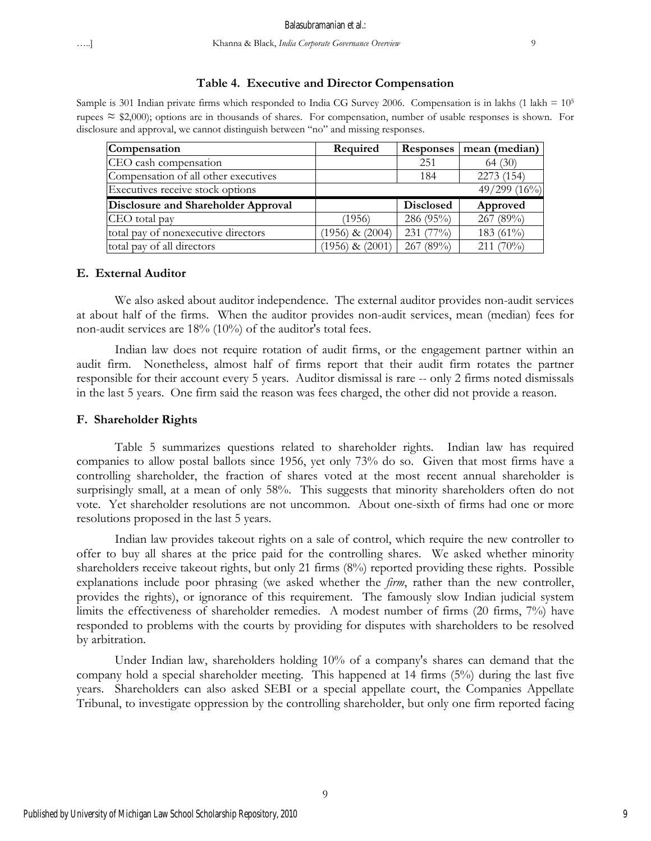#### **Table 4. Executive and Director Compensation**

Sample is 301 Indian private firms which responded to India CG Survey 2006. Compensation is in lakhs (1 lakh =  $10<sup>5</sup>$ rupees  $\approx$  \$2,000); options are in thousands of shares. For compensation, number of usable responses is shown. For disclosure and approval, we cannot distinguish between "no" and missing responses.

| Compensation                         | Required            | <b>Responses</b> | mean (median)   |
|--------------------------------------|---------------------|------------------|-----------------|
| CEO cash compensation                |                     | 251              |                 |
| Compensation of all other executives |                     | 184              | 2273 (154)      |
| Executives receive stock options     |                     |                  | 49/299 $(16\%)$ |
|                                      |                     |                  |                 |
| Disclosure and Shareholder Approval  |                     | <b>Disclosed</b> | Approved        |
| CEO total pay                        | (1956)              | 286 (95%)        | 267 (89%)       |
| total pay of nonexecutive directors  | $(1956)$ & $(2004)$ | 231 (77%)        | 183 (61%)       |

#### **E. External Auditor**

We also asked about auditor independence. The external auditor provides non-audit services at about half of the firms. When the auditor provides non-audit services, mean (median) fees for non-audit services are 18% (10%) of the auditor's total fees.

Indian law does not require rotation of audit firms, or the engagement partner within an audit firm. Nonetheless, almost half of firms report that their audit firm rotates the partner responsible for their account every 5 years. Auditor dismissal is rare -- only 2 firms noted dismissals in the last 5 years. One firm said the reason was fees charged, the other did not provide a reason.

#### **F. Shareholder Rights**

Table 5 summarizes questions related to shareholder rights. Indian law has required companies to allow postal ballots since 1956, yet only 73% do so. Given that most firms have a controlling shareholder, the fraction of shares voted at the most recent annual shareholder is surprisingly small, at a mean of only 58%. This suggests that minority shareholders often do not vote. Yet shareholder resolutions are not uncommon. About one-sixth of firms had one or more resolutions proposed in the last 5 years.

Indian law provides takeout rights on a sale of control, which require the new controller to offer to buy all shares at the price paid for the controlling shares. We asked whether minority shareholders receive takeout rights, but only 21 firms (8%) reported providing these rights. Possible explanations include poor phrasing (we asked whether the *firm*, rather than the new controller, provides the rights), or ignorance of this requirement. The famously slow Indian judicial system limits the effectiveness of shareholder remedies. A modest number of firms (20 firms, 7%) have responded to problems with the courts by providing for disputes with shareholders to be resolved by arbitration.

Under Indian law, shareholders holding 10% of a company's shares can demand that the company hold a special shareholder meeting. This happened at 14 firms (5%) during the last five years. Shareholders can also asked SEBI or a special appellate court, the Companies Appellate Tribunal, to investigate oppression by the controlling shareholder, but only one firm reported facing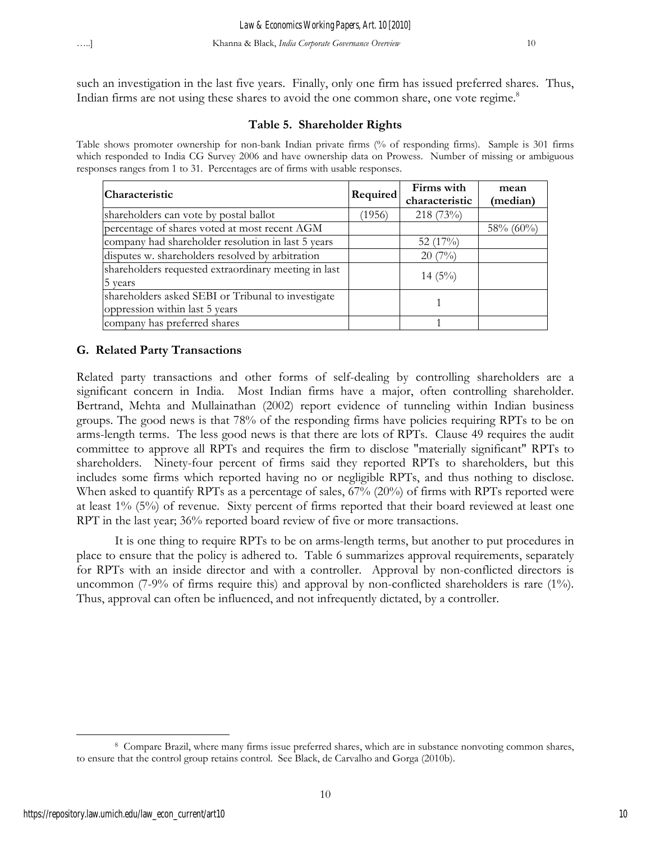such an investigation in the last five years. Finally, only one firm has issued preferred shares. Thus, Indian firms are not using these shares to avoid the one common share, one vote regime.<sup>8</sup>

# **Table 5. Shareholder Rights**

Table shows promoter ownership for non-bank Indian private firms (% of responding firms). Sample is 301 firms which responded to India CG Survey 2006 and have ownership data on Prowess. Number of missing or ambiguous responses ranges from 1 to 31. Percentages are of firms with usable responses.

| Characteristic                                       | Required | Firms with<br>characteristic | mean<br>(median) |
|------------------------------------------------------|----------|------------------------------|------------------|
| shareholders can vote by postal ballot               | (1956)   | 218 (73%)                    |                  |
| percentage of shares voted at most recent AGM        |          |                              | $58\%$ (60%)     |
| company had shareholder resolution in last 5 years   |          | 52 $(17\%)$                  |                  |
| disputes w. shareholders resolved by arbitration     |          | $20(7\%)$                    |                  |
| shareholders requested extraordinary meeting in last |          | $14(5\%)$                    |                  |
| 5 years                                              |          |                              |                  |
| shareholders asked SEBI or Tribunal to investigate   |          |                              |                  |
| oppression within last 5 years                       |          |                              |                  |
| company has preferred shares                         |          |                              |                  |

# **G. Related Party Transactions**

Related party transactions and other forms of self-dealing by controlling shareholders are a significant concern in India. Most Indian firms have a major, often controlling shareholder. Bertrand, Mehta and Mullainathan (2002) report evidence of tunneling within Indian business groups. The good news is that 78% of the responding firms have policies requiring RPTs to be on arms-length terms. The less good news is that there are lots of RPTs. Clause 49 requires the audit committee to approve all RPTs and requires the firm to disclose "materially significant" RPTs to shareholders. Ninety-four percent of firms said they reported RPTs to shareholders, but this includes some firms which reported having no or negligible RPTs, and thus nothing to disclose. When asked to quantify RPTs as a percentage of sales, 67% (20%) of firms with RPTs reported were at least 1% (5%) of revenue. Sixty percent of firms reported that their board reviewed at least one RPT in the last year; 36% reported board review of five or more transactions.

It is one thing to require RPTs to be on arms-length terms, but another to put procedures in place to ensure that the policy is adhered to. Table 6 summarizes approval requirements, separately for RPTs with an inside director and with a controller. Approval by non-conflicted directors is uncommon (7-9% of firms require this) and approval by non-conflicted shareholders is rare (1%). Thus, approval can often be influenced, and not infrequently dictated, by a controller.

 $\overline{a}$ 8 Compare Brazil, where many firms issue preferred shares, which are in substance nonvoting common shares, to ensure that the control group retains control. See Black, de Carvalho and Gorga (2010b).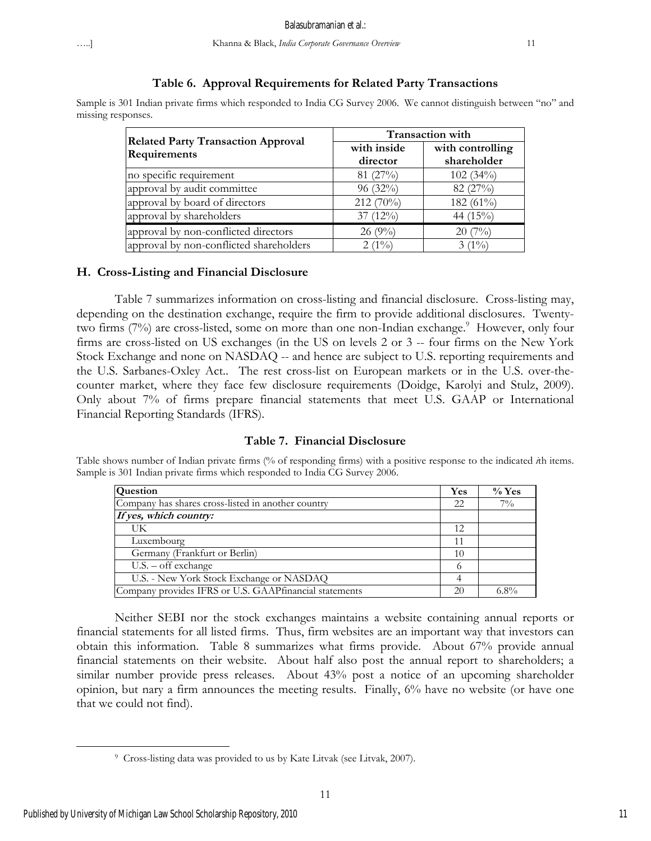#### **Table 6. Approval Requirements for Related Party Transactions**

Sample is 301 Indian private firms which responded to India CG Survey 2006. We cannot distinguish between "no" and missing responses.

| <b>Related Party Transaction Approval</b> | <b>Transaction with</b> |                                 |  |  |
|-------------------------------------------|-------------------------|---------------------------------|--|--|
| Requirements                              | with inside<br>director | with controlling<br>shareholder |  |  |
| no specific requirement                   | 81(27%)                 | 102(34%)                        |  |  |
| approval by audit committee               | 96 (32%)                | 82 (27%)                        |  |  |
| approval by board of directors            | 212 (70%)               | 182 (61%)                       |  |  |
| approval by shareholders                  | 37 $(12\%)$             | 44 $(15\%)$                     |  |  |
| approval by non-conflicted directors      | $26(9\%)$               | $20(7\%)$                       |  |  |
| approval by non-conflicted shareholders   | $2(1\%)$                | $3(1\%)$                        |  |  |

#### **H. Cross-Listing and Financial Disclosure**

Table 7 summarizes information on cross-listing and financial disclosure. Cross-listing may, depending on the destination exchange, require the firm to provide additional disclosures. Twentytwo firms (7%) are cross-listed, some on more than one non-Indian exchange.<sup>9</sup> However, only four firms are cross-listed on US exchanges (in the US on levels 2 or 3 -- four firms on the New York Stock Exchange and none on NASDAQ -- and hence are subject to U.S. reporting requirements and the U.S. Sarbanes-Oxley Act.. The rest cross-list on European markets or in the U.S. over-thecounter market, where they face few disclosure requirements (Doidge, Karolyi and Stulz, 2009). Only about 7% of firms prepare financial statements that meet U.S. GAAP or International Financial Reporting Standards (IFRS).

#### **Table 7. Financial Disclosure**

Table shows number of Indian private firms (% of responding firms) with a positive response to the indicated *i*th items. Sample is 301 Indian private firms which responded to India CG Survey 2006.

| Question                                               | Yes | $\%$ Yes |
|--------------------------------------------------------|-----|----------|
| Company has shares cross-listed in another country     | 22  | $7\%$    |
| If yes, which country:                                 |     |          |
| UK                                                     | 12  |          |
| Luxembourg                                             | 11  |          |
| Germany (Frankfurt or Berlin)                          | 10  |          |
| $U.S. -$ off exchange                                  |     |          |
| U.S. - New York Stock Exchange or NASDAQ               |     |          |
| Company provides IFRS or U.S. GAAPfinancial statements | 20  | $6.8\%$  |

Neither SEBI nor the stock exchanges maintains a website containing annual reports or financial statements for all listed firms. Thus, firm websites are an important way that investors can obtain this information. Table 8 summarizes what firms provide. About 67% provide annual financial statements on their website. About half also post the annual report to shareholders; a similar number provide press releases. About 43% post a notice of an upcoming shareholder opinion, but nary a firm announces the meeting results. Finally, 6% have no website (or have one that we could not find).

 $\overline{a}$ 

<sup>9</sup> Cross-listing data was provided to us by Kate Litvak (see Litvak, 2007).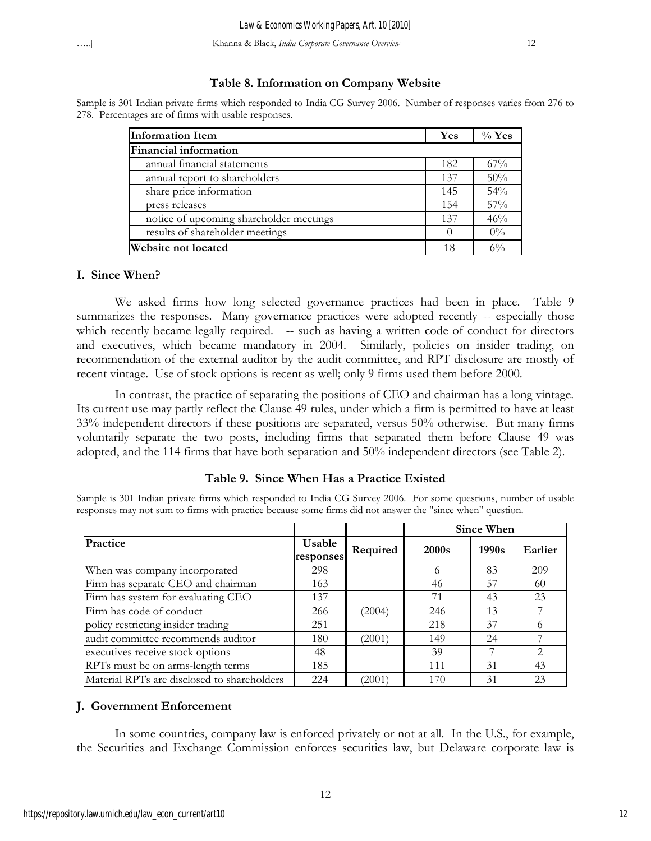# **Table 8. Information on Company Website**

Sample is 301 Indian private firms which responded to India CG Survey 2006. Number of responses varies from 276 to 278. Percentages are of firms with usable responses.

| <b>Information Item</b>                 | Yes | $\%$ Yes |
|-----------------------------------------|-----|----------|
| Financial information                   |     |          |
| annual financial statements             | 182 | 67%      |
| annual report to shareholders           | 137 | 50%      |
| share price information                 | 145 | 54%      |
| press releases                          | 154 | 57%      |
| notice of upcoming shareholder meetings | 137 | 46%      |
| results of shareholder meetings         |     | $0\%$    |
| <b>Website not located</b>              | 18  | 6%       |

## **I. Since When?**

We asked firms how long selected governance practices had been in place. Table 9 summarizes the responses. Many governance practices were adopted recently -- especially those which recently became legally required. -- such as having a written code of conduct for directors and executives, which became mandatory in 2004. Similarly, policies on insider trading, on recommendation of the external auditor by the audit committee, and RPT disclosure are mostly of recent vintage. Use of stock options is recent as well; only 9 firms used them before 2000.

In contrast, the practice of separating the positions of CEO and chairman has a long vintage. Its current use may partly reflect the Clause 49 rules, under which a firm is permitted to have at least 33% independent directors if these positions are separated, versus 50% otherwise. But many firms voluntarily separate the two posts, including firms that separated them before Clause 49 was adopted, and the 114 firms that have both separation and 50% independent directors (see Table 2).

# **Table 9. Since When Has a Practice Existed**

Sample is 301 Indian private firms which responded to India CG Survey 2006. For some questions, number of usable responses may not sum to firms with practice because some firms did not answer the "since when" question.

|                                             |                     |          | Since When        |       |                               |
|---------------------------------------------|---------------------|----------|-------------------|-------|-------------------------------|
| Practice                                    | Usable<br>responses | Required | 2000 <sub>s</sub> | 1990s | Earlier                       |
| When was company incorporated               | 298                 |          |                   | 83    | 209                           |
| Firm has separate CEO and chairman          | 163                 |          | 46                | 57    | -60                           |
| Firm has system for evaluating CEO          | 137                 |          | 71                | 43    | 23                            |
| Firm has code of conduct                    | 266                 | (2004)   | 246               | 13    |                               |
| policy restricting insider trading          | 251                 |          | 218               | 37    |                               |
| audit committee recommends auditor          | 180                 | (2001)   | 149               | 24    |                               |
| executives receive stock options            | 48                  |          | 39                | 7     | $\mathfrak{D}_{\mathfrak{p}}$ |
| RPTs must be on arms-length terms           | 185                 |          | 111               | 31    | 43                            |
| Material RPTs are disclosed to shareholders | 224                 | (2001)   | 170               | 31    | 23                            |

# **J. Government Enforcement**

In some countries, company law is enforced privately or not at all. In the U.S., for example, the Securities and Exchange Commission enforces securities law, but Delaware corporate law is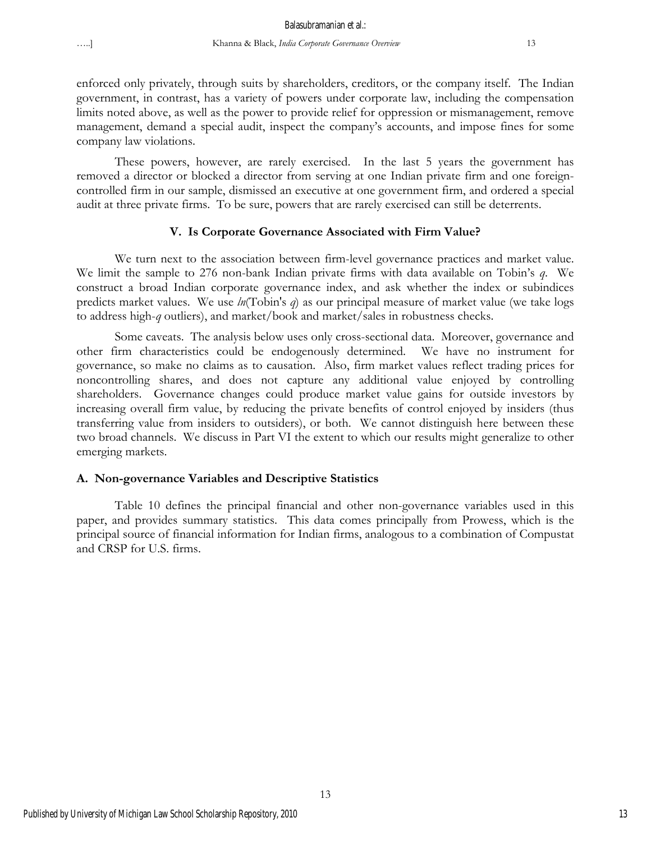enforced only privately, through suits by shareholders, creditors, or the company itself. The Indian government, in contrast, has a variety of powers under corporate law, including the compensation limits noted above, as well as the power to provide relief for oppression or mismanagement, remove management, demand a special audit, inspect the company's accounts, and impose fines for some company law violations.

These powers, however, are rarely exercised. In the last 5 years the government has removed a director or blocked a director from serving at one Indian private firm and one foreigncontrolled firm in our sample, dismissed an executive at one government firm, and ordered a special audit at three private firms. To be sure, powers that are rarely exercised can still be deterrents.

# **V. Is Corporate Governance Associated with Firm Value?**

We turn next to the association between firm-level governance practices and market value. We limit the sample to 276 non-bank Indian private firms with data available on Tobin's *q*. We construct a broad Indian corporate governance index, and ask whether the index or subindices predicts market values. We use *ln*(Tobin's *q*) as our principal measure of market value (we take logs to address high-*q* outliers), and market/book and market/sales in robustness checks.

Some caveats. The analysis below uses only cross-sectional data. Moreover, governance and other firm characteristics could be endogenously determined. We have no instrument for governance, so make no claims as to causation. Also, firm market values reflect trading prices for noncontrolling shares, and does not capture any additional value enjoyed by controlling shareholders. Governance changes could produce market value gains for outside investors by increasing overall firm value, by reducing the private benefits of control enjoyed by insiders (thus transferring value from insiders to outsiders), or both. We cannot distinguish here between these two broad channels. We discuss in Part VI the extent to which our results might generalize to other emerging markets.

# **A. Non-governance Variables and Descriptive Statistics**

Table 10 defines the principal financial and other non-governance variables used in this paper, and provides summary statistics. This data comes principally from Prowess, which is the principal source of financial information for Indian firms, analogous to a combination of Compustat and CRSP for U.S. firms.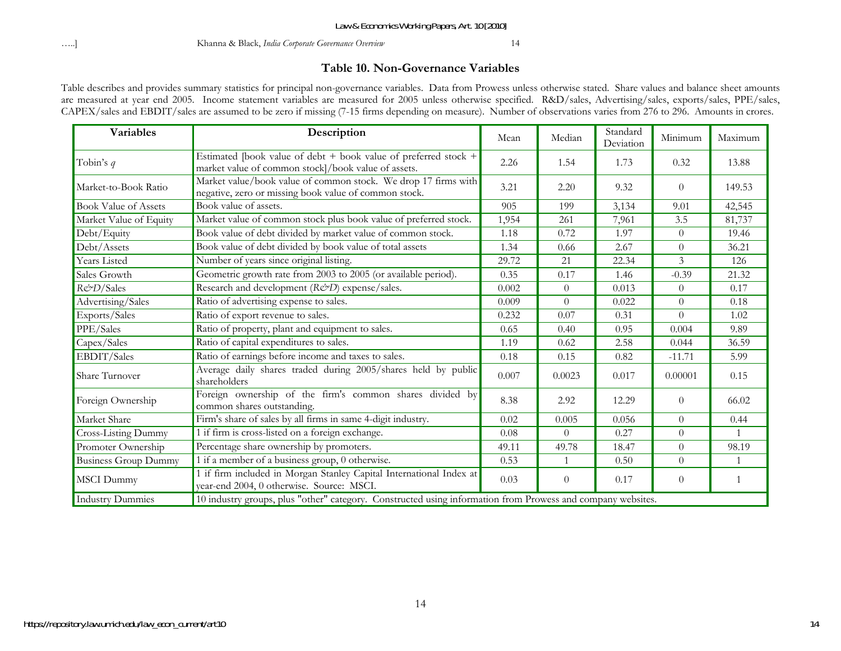…..] Khanna & Black, *India Corporate Governance Overview* 14

#### **Table 10. Non-Governance Variables**

Table describes and provides summary statistics for principal non-governance variables. Data from Prowess unless otherwise stated. Share values and balance sheet amounts are measured at year end 2005. Income statement variables are measured for 2005 unless otherwise specified. R&D/sales, Advertising/sales, exports/sales, PPE/sales, CAPEX/sales and EBDIT/sales are assumed to be zero if missing (7-15 firms depending on measure). Number of observations varies from 276 to 296. Amounts in crores.

| <b>Variables</b>            | Description                                                                                                             | Mean  | Median         | Standard<br>Deviation | Minimum                  | Maximum        |
|-----------------------------|-------------------------------------------------------------------------------------------------------------------------|-------|----------------|-----------------------|--------------------------|----------------|
| Tobin's $q$                 | Estimated [book value of debt + book value of preferred stock +<br>market value of common stock]/book value of assets.  | 2.26  | 1.54           | 1.73                  | 0.32                     | 13.88          |
| Market-to-Book Ratio        | Market value/book value of common stock. We drop 17 firms with<br>negative, zero or missing book value of common stock. | 3.21  | 2.20           | 9.32                  | $\theta$                 | 149.53         |
| <b>Book Value of Assets</b> | Book value of assets.                                                                                                   | 905   | 199            | 3,134                 | 9.01                     | 42,545         |
| Market Value of Equity      | Market value of common stock plus book value of preferred stock.                                                        | 1,954 | 261            | 7,961                 | 3.5                      | 81,737         |
| Debt/Equity                 | Book value of debt divided by market value of common stock.                                                             | 1.18  | 0.72           | 1.97                  | $\Omega$                 | 19.46          |
| Debt/Assets                 | Book value of debt divided by book value of total assets                                                                | 1.34  | 0.66           | 2.67                  | $\overline{0}$           | 36.21          |
| Years Listed                | Number of years since original listing.                                                                                 | 29.72 | 21             | 22.34                 | $\overline{\mathcal{E}}$ | 126            |
| Sales Growth                | Geometric growth rate from 2003 to 2005 (or available period).                                                          | 0.35  | 0.17           | 1.46                  | $-0.39$                  | 21.32          |
| R&D/Sales                   | Research and development (R&D) expense/sales.                                                                           | 0.002 | $\overline{0}$ | 0.013                 | $\theta$                 | 0.17           |
| Advertising/Sales           | Ratio of advertising expense to sales.                                                                                  | 0.009 | $\theta$       | 0.022                 | $\theta$                 | 0.18           |
| Exports/Sales               | Ratio of export revenue to sales.                                                                                       | 0.232 | 0.07           | 0.31                  | $\theta$                 | 1.02           |
| PPE/Sales                   | Ratio of property, plant and equipment to sales.                                                                        | 0.65  | 0.40           | 0.95                  | 0.004                    | 9.89           |
| Capex/Sales                 | Ratio of capital expenditures to sales.                                                                                 | 1.19  | 0.62           | 2.58                  | 0.044                    | 36.59          |
| EBDIT/Sales                 | Ratio of earnings before income and taxes to sales.                                                                     | 0.18  | 0.15           | 0.82                  | $-11.71$                 | 5.99           |
| Share Turnover              | Average daily shares traded during 2005/shares held by public<br>shareholders                                           | 0.007 | 0.0023         | 0.017                 | 0.00001                  | 0.15           |
| Foreign Ownership           | Foreign ownership of the firm's common shares divided by<br>common shares outstanding.                                  | 8.38  | 2.92           | 12.29                 | $\theta$                 | 66.02          |
| Market Share                | Firm's share of sales by all firms in same 4-digit industry.                                                            | 0.02  | 0.005          | 0.056                 | $\theta$                 | 0.44           |
| Cross-Listing Dummy         | 1 if firm is cross-listed on a foreign exchange.                                                                        | 0.08  | $\overline{0}$ | 0.27                  | $\theta$                 | $\overline{1}$ |
| Promoter Ownership          | Percentage share ownership by promoters.                                                                                | 49.11 | 49.78          | 18.47                 | $\overline{0}$           | 98.19          |
| <b>Business Group Dummy</b> | 1 if a member of a business group, 0 otherwise.                                                                         | 0.53  | $\mathbf{1}$   | 0.50                  | $\Omega$                 | $\mathbf{1}$   |
| <b>MSCI</b> Dummy           | 1 if firm included in Morgan Stanley Capital International Index at<br>year-end 2004, 0 otherwise. Source: MSCI.        | 0.03  | $\theta$       | 0.17                  | $\theta$                 | 1              |
| Industry Dummies            | 10 industry groups, plus "other" category. Constructed using information from Prowess and company websites.             |       |                |                       |                          |                |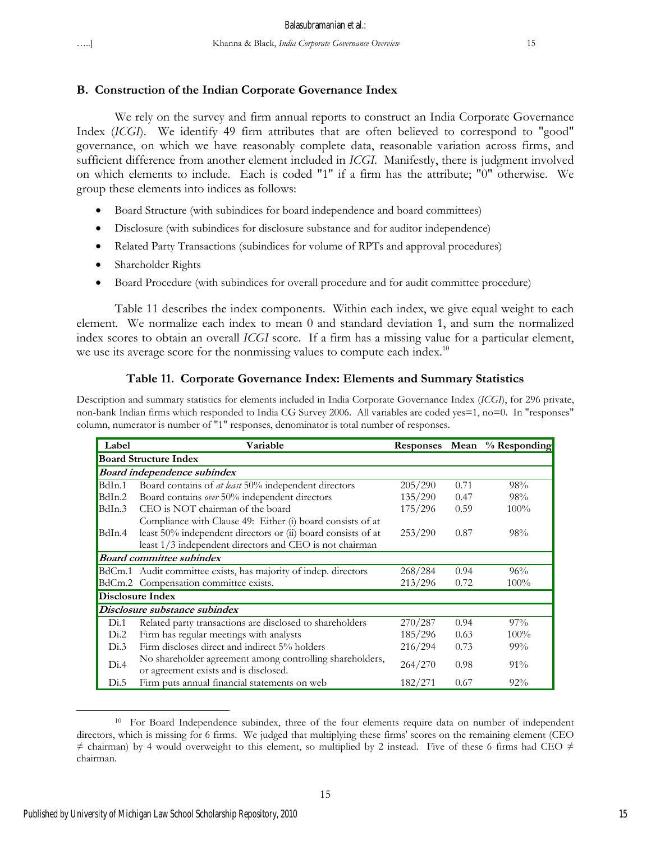# **B. Construction of the Indian Corporate Governance Index**

We rely on the survey and firm annual reports to construct an India Corporate Governance Index (*ICGI*). We identify 49 firm attributes that are often believed to correspond to "good" governance, on which we have reasonably complete data, reasonable variation across firms, and sufficient difference from another element included in *ICGI*. Manifestly, there is judgment involved on which elements to include. Each is coded "1" if a firm has the attribute; "0" otherwise. We group these elements into indices as follows:

- Board Structure (with subindices for board independence and board committees)
- Disclosure (with subindices for disclosure substance and for auditor independence)
- Related Party Transactions (subindices for volume of RPTs and approval procedures)
- Shareholder Rights
- Board Procedure (with subindices for overall procedure and for audit committee procedure)

Table 11 describes the index components. Within each index, we give equal weight to each element. We normalize each index to mean 0 and standard deviation 1, and sum the normalized index scores to obtain an overall *ICGI* score. If a firm has a missing value for a particular element, we use its average score for the nonmissing values to compute each index.<sup>10</sup>

# **Table 11. Corporate Governance Index: Elements and Summary Statistics**

Description and summary statistics for elements included in India Corporate Governance Index (*ICGI*), for 296 private, non-bank Indian firms which responded to India CG Survey 2006. All variables are coded yes=1, no=0. In "responses" column, numerator is number of "1" responses, denominator is total number of responses.

| Label                        | Variable                                                                                          | Responses Mean |      | % Responding |  |  |  |
|------------------------------|---------------------------------------------------------------------------------------------------|----------------|------|--------------|--|--|--|
| <b>Board Structure Index</b> |                                                                                                   |                |      |              |  |  |  |
|                              | <b>Board independence subindex</b>                                                                |                |      |              |  |  |  |
| BdIn.1                       | Board contains of <i>at least</i> 50% independent directors                                       | 205/290        | 0.71 | 98%          |  |  |  |
| BdIn.2                       | Board contains over 50% independent directors                                                     | 135/290        | 0.47 | 98%          |  |  |  |
| BdIn.3                       | CEO is NOT chairman of the board                                                                  | 175/296        | 0.59 | $100\%$      |  |  |  |
|                              | Compliance with Clause 49: Either (i) board consists of at                                        |                |      |              |  |  |  |
| BdIn.4                       | least 50% independent directors or (ii) board consists of at                                      | 253/290        | 0.87 | 98%          |  |  |  |
|                              | least 1/3 independent directors and CEO is not chairman                                           |                |      |              |  |  |  |
|                              | <b>Board committee subindex</b>                                                                   |                |      |              |  |  |  |
|                              | BdCm.1 Audit committee exists, has majority of indep. directors                                   | 268/284        | 0.94 | 96%          |  |  |  |
|                              | BdCm.2 Compensation committee exists.                                                             | 213/296        | 0.72 | $100\%$      |  |  |  |
|                              | <b>Disclosure Index</b>                                                                           |                |      |              |  |  |  |
|                              | Disclosure substance subindex                                                                     |                |      |              |  |  |  |
| Di.1                         | Related party transactions are disclosed to shareholders                                          | 270/287        | 0.94 | $97\%$       |  |  |  |
| Di.2                         | Firm has regular meetings with analysts                                                           | 185/296        | 0.63 | $100\%$      |  |  |  |
| Di.3                         | Firm discloses direct and indirect 5% holders                                                     | 216/294        | 0.73 | $99\%$       |  |  |  |
| Di.4                         | No shareholder agreement among controlling shareholders,<br>or agreement exists and is disclosed. | 264/270        | 0.98 | $91\%$       |  |  |  |
| Di.5                         | Firm puts annual financial statements on web                                                      | 182/271        | 0.67 | $92\%$       |  |  |  |

 $\overline{a}$ <sup>10</sup> For Board Independence subindex, three of the four elements require data on number of independent directors, which is missing for 6 firms. We judged that multiplying these firms' scores on the remaining element (CEO  $\neq$  chairman) by 4 would overweight to this element, so multiplied by 2 instead. Five of these 6 firms had CEO  $\neq$ chairman.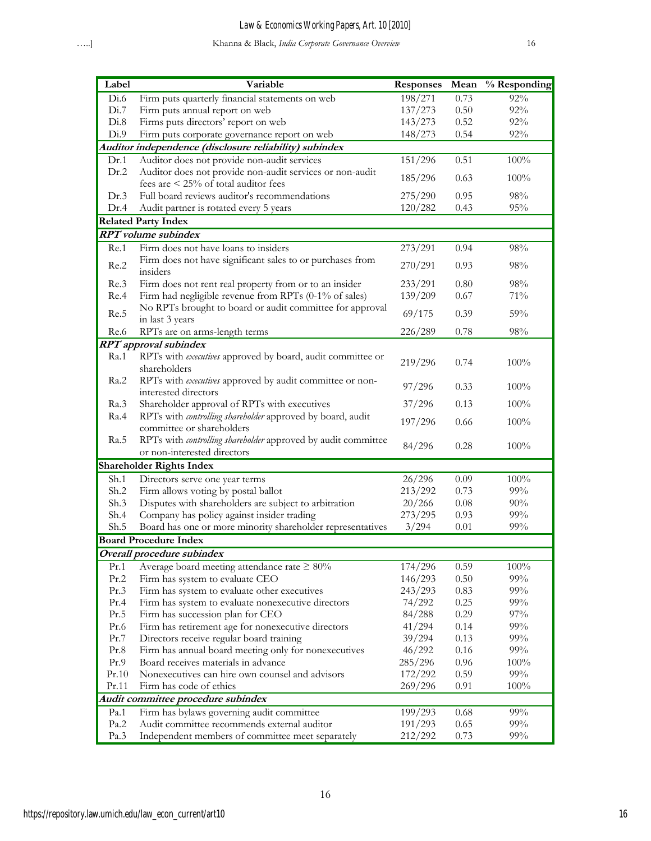| Label | Variable                                                      | <b>Responses</b> | Mean     | % Responding |
|-------|---------------------------------------------------------------|------------------|----------|--------------|
| Di.6  | Firm puts quarterly financial statements on web               | 198/271          | 0.73     | 92%          |
| Di.7  | Firm puts annual report on web                                | 137/273          | 0.50     | 92%          |
| Di.8  | Firms puts directors' report on web                           | 143/273          | 0.52     | $92\%$       |
| Di.9  | Firm puts corporate governance report on web                  | 148/273          | 0.54     | 92%          |
|       | Auditor independence (disclosure reliability) subindex        |                  |          |              |
| Dr.1  | Auditor does not provide non-audit services                   | 151/296          | 0.51     | 100%         |
| Dr.2  | Auditor does not provide non-audit services or non-audit      | 185/296          | 0.63     | 100%         |
|       | fees are $\leq$ 25% of total auditor fees                     |                  |          |              |
| Dr.3  | Full board reviews auditor's recommendations                  | 275/290          | 0.95     | 98%          |
| Dr.4  | Audit partner is rotated every 5 years                        | 120/282          | 0.43     | 95%          |
|       | <b>Related Party Index</b>                                    |                  |          |              |
|       | <b>RPT</b> volume subindex                                    |                  |          |              |
| Re.1  | Firm does not have loans to insiders                          | 273/291          | 0.94     | $98\%$       |
|       | Firm does not have significant sales to or purchases from     |                  |          |              |
| Re.2  | insiders                                                      | 270/291          | 0.93     | $98\%$       |
| Re.3  | Firm does not rent real property from or to an insider        | 233/291          | 0.80     | 98%          |
| Re.4  | Firm had negligible revenue from RPTs (0-1% of sales)         | 139/209          | 0.67     | 71%          |
|       | No RPTs brought to board or audit committee for approval      |                  |          |              |
| Re.5  | in last 3 years                                               | 69/175           | 0.39     | 59%          |
| Re.6  | RPTs are on arms-length terms                                 | 226/289          | 0.78     | 98%          |
|       | <b>RPT</b> approval subindex                                  |                  |          |              |
| Ra.1  | RPTs with executives approved by board, audit committee or    |                  |          |              |
|       | shareholders                                                  | 219/296          | 0.74     | 100%         |
| Ra.2  | RPTs with executives approved by audit committee or non-      |                  |          |              |
|       | interested directors                                          | 97/296           | 0.33     | 100%         |
| Ra.3  | Shareholder approval of RPTs with executives                  | 37/296           | 0.13     | 100%         |
| Ra.4  | RPTs with controlling shareholder approved by board, audit    | 197/296          | 0.66     | 100%         |
|       | committee or shareholders                                     |                  |          |              |
| Ra.5  | RPTs with controlling shareholder approved by audit committee | 84/296           | 0.28     | 100%         |
|       | or non-interested directors                                   |                  |          |              |
|       | <b>Shareholder Rights Index</b>                               |                  |          |              |
| Sh.1  | Directors serve one year terms                                | 26/296           | 0.09     | 100%         |
| Sh.2  | Firm allows voting by postal ballot                           | 213/292          | 0.73     | 99%          |
| Sh.3  | Disputes with shareholders are subject to arbitration         | 20/266           | 0.08     | 90%          |
| Sh.4  | Company has policy against insider trading                    | 273/295          | 0.93     | 99%          |
| Sh.5  | Board has one or more minority shareholder representatives    | 3/294            | 0.01     | 99%          |
|       | <b>Board Procedure Index</b>                                  |                  |          |              |
|       | Overall procedure subindex                                    |                  |          |              |
| Pr.1  | Average board meeting attendance rate $\geq 80\%$             | 174/296          | 0.59     | 100%         |
| Pr.2  | Firm has system to evaluate CEO                               | 146/293          | 0.50     | 99%          |
| Pr.3  | Firm has system to evaluate other executives                  | 243/293          | 0.83     | 99%          |
| Pr.4  | Firm has system to evaluate nonexecutive directors            | 74/292           | 0.25     | 99%          |
| Pr.5  | Firm has succession plan for CEO                              | 84/288           | 0.29     | 97%          |
| Pr.6  | Firm has retirement age for nonexecutive directors            | 41/294           | 0.14     | 99%          |
| Pr.7  | Directors receive regular board training                      | 39/294           | 0.13     | 99%          |
| Pr.8  | Firm has annual board meeting only for nonexecutives          | 46/292           | $0.16\,$ | $99\%$       |
| Pr.9  | Board receives materials in advance                           | 285/296          | 0.96     | 100%         |
| Pr.10 | Nonexecutives can hire own counsel and advisors               | 172/292          | 0.59     | 99%          |
| Pr.11 | Firm has code of ethics                                       | 269/296          | 0.91     | 100%         |
|       | Audit committee procedure subindex                            |                  |          |              |
| Pa.1  | Firm has bylaws governing audit committee                     | 199/293          | 0.68     | 99%          |
| Pa.2  | Audit committee recommends external auditor                   | 191/293          | 0.65     | 99%          |
| Pa.3  | Independent members of committee meet separately              | 212/292          | 0.73     | 99%          |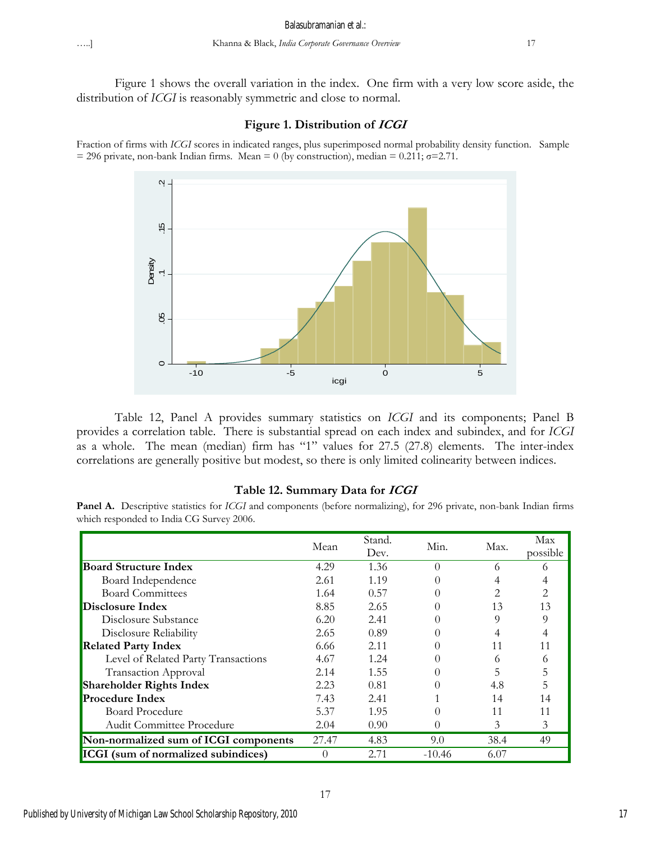Figure 1 shows the overall variation in the index. One firm with a very low score aside, the distribution of *ICGI* is reasonably symmetric and close to normal.

#### **Figure 1. Distribution of ICGI**

Fraction of firms with *ICGI* scores in indicated ranges, plus superimposed normal probability density function. Sample  $= 296$  private, non-bank Indian firms. Mean  $= 0$  (by construction), median  $= 0.211$ ;  $\sigma = 2.71$ .



Table 12, Panel A provides summary statistics on *ICGI* and its components; Panel B provides a correlation table. There is substantial spread on each index and subindex, and for *ICGI* as a whole. The mean (median) firm has "1" values for 27.5 (27.8) elements. The inter-index correlations are generally positive but modest, so there is only limited colinearity between indices.

## **Table 12. Summary Data for ICGI**

**Panel A.** Descriptive statistics for *ICGI* and components (before normalizing), for 296 private, non-bank Indian firms which responded to India CG Survey 2006.

|                                            | Mean     | Stand.<br>Dev. | Min.             | Max. | Max<br>possible |
|--------------------------------------------|----------|----------------|------------------|------|-----------------|
| <b>Board Structure Index</b>               | 4.29     | 1.36           | $\Omega$         | 6    | 6               |
| Board Independence                         | 2.61     | 1.19           |                  |      |                 |
| <b>Board Committees</b>                    | 1.64     | 0.57           |                  | 2    |                 |
| Disclosure Index                           | 8.85     | 2.65           |                  | 13   | 13              |
| Disclosure Substance                       | 6.20     | 2.41           |                  | 9    |                 |
| Disclosure Reliability                     | 2.65     | 0.89           |                  |      |                 |
| <b>Related Party Index</b>                 | 6.66     | 2.11           |                  | 11   |                 |
| Level of Related Party Transactions        | 4.67     | 1.24           |                  | 6    |                 |
| <b>Transaction Approval</b>                | 2.14     | 1.55           |                  | 5    |                 |
| <b>Shareholder Rights Index</b>            | 2.23     | 0.81           | 0                | 4.8  | 5               |
| <b>Procedure Index</b>                     | 7.43     | 2.41           |                  | 14   | 14              |
| <b>Board Procedure</b>                     | 5.37     | 1.95           | 0                | 11   | 11              |
| <b>Audit Committee Procedure</b>           | 2.04     | 0.90           | $\left( \right)$ | 3    | 3               |
| Non-normalized sum of ICGI components      | 27.47    | 4.83           | 9.0              | 38.4 | 49              |
| <b>ICGI</b> (sum of normalized subindices) | $\Omega$ | 2.71           | $-10.46$         | 6.07 |                 |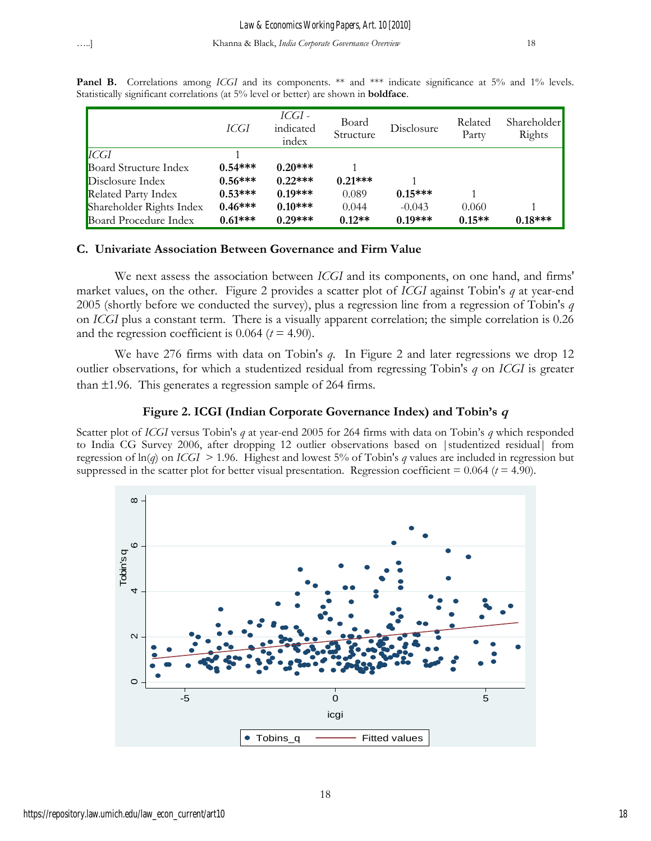|                          | ICGI      | ICGI -<br>indicated<br>index | Board<br>Structure | Disclosure | Related<br>Party | Shareholder<br>Rights |
|--------------------------|-----------|------------------------------|--------------------|------------|------------------|-----------------------|
| <b>ICGI</b>              |           |                              |                    |            |                  |                       |
| Board Structure Index    | $0.54***$ | $0.20***$                    |                    |            |                  |                       |
| Disclosure Index         | $0.56***$ | $0.22***$                    | $0.21***$          |            |                  |                       |
| Related Party Index      | $0.53***$ | $0.19***$                    | 0.089              | $0.15***$  |                  |                       |
| Shareholder Rights Index | $0.46***$ | $0.10***$                    | 0.044              | $-0.043$   | 0.060            |                       |
| Board Procedure Index    | $0.61***$ | $0.29***$                    | $0.12**$           | $0.19***$  | $0.15**$         | $0.18***$             |

Panel B. Correlations among *ICGI* and its components. \*\* and \*\*\* indicate significance at 5% and 1% levels. Statistically significant correlations (at 5% level or better) are shown in **boldface**.

# **C. Univariate Association Between Governance and Firm Value**

We next assess the association between *ICGI* and its components, on one hand, and firms' market values, on the other. Figure 2 provides a scatter plot of *ICGI* against Tobin's *q* at year-end 2005 (shortly before we conducted the survey), plus a regression line from a regression of Tobin's *q* on *ICGI* plus a constant term. There is a visually apparent correlation; the simple correlation is 0.26 and the regression coefficient is  $0.064$  ( $t = 4.90$ ).

We have 276 firms with data on Tobin's *q*. In Figure 2 and later regressions we drop 12 outlier observations, for which a studentized residual from regressing Tobin's *q* on *ICGI* is greater than  $\pm 1.96$ . This generates a regression sample of 264 firms.

# **Figure 2. ICGI (Indian Corporate Governance Index) and Tobin's <sup>q</sup>**

Scatter plot of *ICGI* versus Tobin's *q* at year-end 2005 for 264 firms with data on Tobin's *q* which responded to India CG Survey 2006, after dropping 12 outlier observations based on |studentized residual| from regression of ln(*q*) on *ICGI* > 1.96. Highest and lowest 5% of Tobin's *q* values are included in regression but suppressed in the scatter plot for better visual presentation. Regression coefficient  $= 0.064$  ( $t = 4.90$ ).

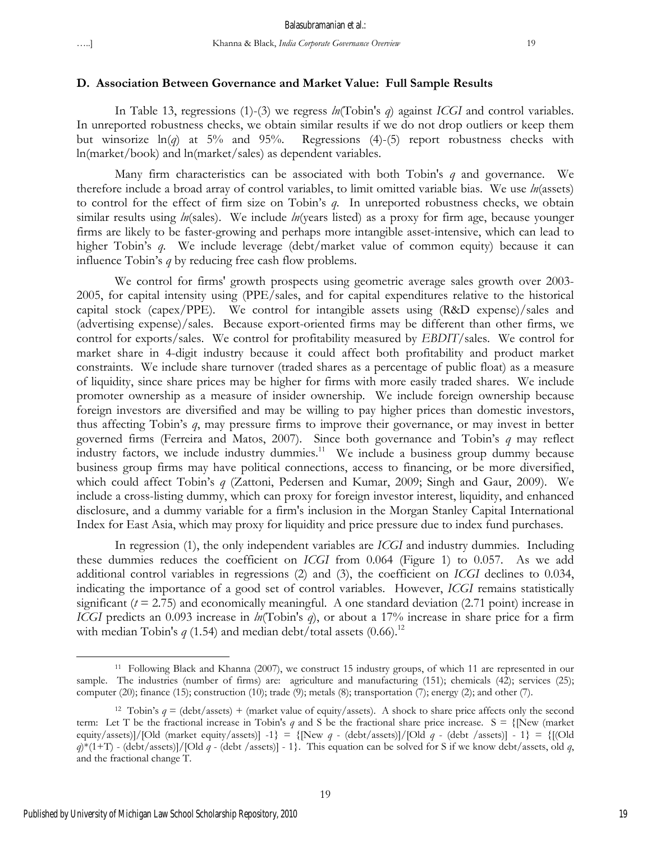#### **D. Association Between Governance and Market Value: Full Sample Results**

In Table 13, regressions (1)-(3) we regress *ln*(Tobin's *q*) against *ICGI* and control variables. In unreported robustness checks, we obtain similar results if we do not drop outliers or keep them but winsorize  $ln(q)$  at 5% and 95%. Regressions (4)-(5) report robustness checks with ln(market/book) and ln(market/sales) as dependent variables.

Many firm characteristics can be associated with both Tobin's *q* and governance. We therefore include a broad array of control variables, to limit omitted variable bias. We use *ln*(assets) to control for the effect of firm size on Tobin's *q*. In unreported robustness checks, we obtain similar results using *ln*(sales). We include *ln*(years listed) as a proxy for firm age, because younger firms are likely to be faster-growing and perhaps more intangible asset-intensive, which can lead to higher Tobin's *q*. We include leverage (debt/market value of common equity) because it can influence Tobin's *q* by reducing free cash flow problems.

We control for firms' growth prospects using geometric average sales growth over 2003- 2005, for capital intensity using (PPE/sales, and for capital expenditures relative to the historical capital stock (capex/PPE). We control for intangible assets using (R&D expense)/sales and (advertising expense)/sales. Because export-oriented firms may be different than other firms, we control for exports/sales. We control for profitability measured by *EBDIT*/sales. We control for market share in 4-digit industry because it could affect both profitability and product market constraints. We include share turnover (traded shares as a percentage of public float) as a measure of liquidity, since share prices may be higher for firms with more easily traded shares. We include promoter ownership as a measure of insider ownership. We include foreign ownership because foreign investors are diversified and may be willing to pay higher prices than domestic investors, thus affecting Tobin's *q*, may pressure firms to improve their governance, or may invest in better governed firms (Ferreira and Matos, 2007). Since both governance and Tobin's *q* may reflect industry factors, we include industry dummies.<sup>11</sup> We include a business group dummy because business group firms may have political connections, access to financing, or be more diversified, which could affect Tobin's *q* (Zattoni, Pedersen and Kumar, 2009; Singh and Gaur, 2009). We include a cross-listing dummy, which can proxy for foreign investor interest, liquidity, and enhanced disclosure, and a dummy variable for a firm's inclusion in the Morgan Stanley Capital International Index for East Asia, which may proxy for liquidity and price pressure due to index fund purchases.

In regression (1), the only independent variables are *ICGI* and industry dummies. Including these dummies reduces the coefficient on *ICGI* from 0.064 (Figure 1) to 0.057. As we add additional control variables in regressions (2) and (3), the coefficient on *ICGI* declines to 0.034, indicating the importance of a good set of control variables. However, *ICGI* remains statistically significant  $(t = 2.75)$  and economically meaningful. A one standard deviation  $(2.71 \text{ point})$  increase in *ICGI* predicts an 0.093 increase in *ln*(Tobin's *q*), or about a 17% increase in share price for a firm with median Tobin's  $q(1.54)$  and median debt/total assets  $(0.66)$ .<sup>12</sup>

<sup>11</sup> Following Black and Khanna (2007), we construct 15 industry groups, of which 11 are represented in our sample. The industries (number of firms) are: agriculture and manufacturing (151); chemicals (42); services (25); computer (20); finance (15); construction (10); trade (9); metals (8); transportation (7); energy (2); and other (7).

<sup>&</sup>lt;sup>12</sup> Tobin's  $q = (\text{debt}/\text{assets}) + (\text{market value of equity}/\text{assets})$ . A shock to share price affects only the second term: Let T be the fractional increase in Tobin's *q* and S be the fractional share price increase.  $S = \{New \text{ (market}$ equity/assets)]/[Old (market equity/assets)] -1} = {[New *q* - (debt/assets)]/[Old *q* - (debt /assets)] - 1} = {[(Old *q*)\*(1+T) - (debt/assets)]/[Old *q* - (debt /assets)] - 1}. This equation can be solved for S if we know debt/assets, old *q*, and the fractional change T.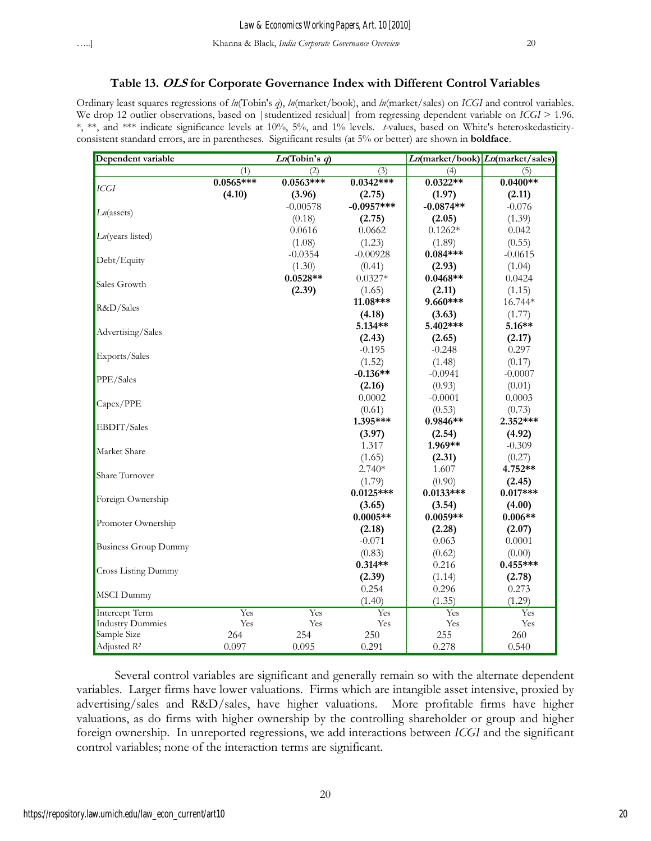#### **Table 13. OLS for Corporate Governance Index with Different Control Variables**

Ordinary least squares regressions of *ln*(Tobin's *q*), *ln*(market/book), and *ln*(market/sales) on *ICGI* and control variables. We drop 12 outlier observations, based on |studentized residual| from regressing dependent variable on *ICGI* > 1.96. \*, \*\*, and \*\*\* indicate significance levels at 10%, 5%, and 1% levels. *t-*values, based on White's heteroskedasticityconsistent standard errors, are in parentheses. Significant results (at 5% or better) are shown in **boldface**.

| Dependent variable          |             | Ln(Tobin's q) |              |             | $Ln(market/book)$ $Ln(market/sales)$ |
|-----------------------------|-------------|---------------|--------------|-------------|--------------------------------------|
|                             | (1)         | (2)           | (3)          | (4)         | (5)                                  |
|                             | $0.0565***$ | $0.0563***$   | $0.0342***$  | $0.0322**$  | $0.0400**$                           |
| <b>ICGI</b>                 | (4.10)      | (3.96)        | (2.75)       | (1.97)      | (2.11)                               |
|                             |             | $-0.00578$    | $-0.0957***$ | $-0.0874**$ | $-0.076$                             |
| $Ln$ (assets)               |             | (0.18)        | (2.75)       | (2.05)      | (1.39)                               |
|                             |             | 0.0616        | 0.0662       | $0.1262*$   | 0.042                                |
| $Ln$ (years listed)         |             | (1.08)        | (1.23)       | (1.89)      | (0.55)                               |
|                             |             | $-0.0354$     | $-0.00928$   | $0.084***$  | $-0.0615$                            |
| Debt/Equity                 |             | (1.30)        | (0.41)       | (2.93)      | (1.04)                               |
| Sales Growth                |             | $0.0528**$    | $0.0327*$    | $0.0468**$  | 0.0424                               |
|                             |             | (2.39)        | (1.65)       | (2.11)      | (1.15)                               |
| R&D/Sales                   |             |               | 11.08***     | 9.660***    | 16.744*                              |
|                             |             |               | (4.18)       | (3.63)      | (1.77)                               |
| Advertising/Sales           |             |               | $5.134**$    | 5.402***    | 5.16**                               |
|                             |             |               | (2.43)       | (2.65)      | (2.17)                               |
| Exports/Sales               |             |               | $-0.195$     | $-0.248$    | 0.297                                |
|                             |             |               | (1.52)       | (1.48)      | (0.17)                               |
| PPE/Sales                   |             |               | $-0.136**$   | $-0.0941$   | $-0.0007$                            |
|                             |             |               | (2.16)       | (0.93)      | (0.01)                               |
| Capex/PPE                   |             |               | 0.0002       | $-0.0001$   | 0.0003                               |
|                             |             |               | (0.61)       | (0.53)      | (0.73)                               |
| EBDIT/Sales                 |             |               | 1.395***     | 0.9846**    | 2.352***                             |
|                             |             |               | (3.97)       | (2.54)      | (4.92)                               |
| Market Share                |             |               | 1.317        | 1.969**     | $-0.309$                             |
|                             |             |               | (1.65)       | (2.31)      | (0.27)                               |
| Share Turnover              |             |               | $2.740*$     | 1.607       | 4.752**                              |
|                             |             |               | (1.79)       | (0.90)      | (2.45)                               |
| Foreign Ownership           |             |               | $0.0125***$  | $0.0133***$ | $0.017***$                           |
|                             |             |               | (3.65)       | (3.54)      | (4.00)                               |
| Promoter Ownership          |             |               | $0.0005**$   | $0.0059**$  | $0.006**$                            |
|                             |             |               | (2.18)       | (2.28)      | (2.07)                               |
| <b>Business Group Dummy</b> |             |               | $-0.071$     | 0.063       | 0.0001                               |
|                             |             |               | (0.83)       | (0.62)      | (0.00)                               |
| <b>Cross Listing Dummy</b>  |             |               | $0.314**$    | 0.216       | $0.455***$                           |
|                             |             |               | (2.39)       | (1.14)      | (2.78)                               |
| MSCI Dummy                  |             |               | 0.254        | 0.296       | 0.273                                |
|                             |             |               | (1.40)       | (1.35)      | (1.29)                               |
| Intercept Term              | Yes         | Yes           | Yes          | Yes         | Yes                                  |
| <b>Industry Dummies</b>     | Yes         | Yes           | Yes          | Yes         | Yes                                  |
| Sample Size                 | 264         | 254           | 250          | 255         | 260                                  |
| Adjusted R <sup>2</sup>     | 0.097       | 0.095         | 0.291        | 0.278       | 0.540                                |

Several control variables are significant and generally remain so with the alternate dependent variables. Larger firms have lower valuations. Firms which are intangible asset intensive, proxied by advertising/sales and R&D/sales, have higher valuations. More profitable firms have higher valuations, as do firms with higher ownership by the controlling shareholder or group and higher foreign ownership. In unreported regressions, we add interactions between *ICGI* and the significant control variables; none of the interaction terms are significant.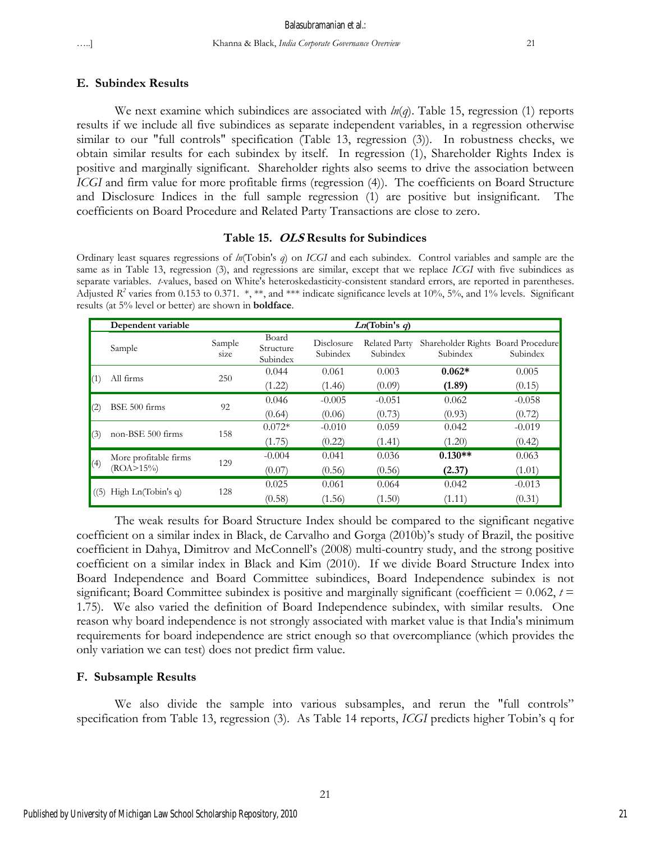## Balasubramanian et al.:

**E. Subindex Results** 

We next examine which subindices are associated with *ln*(*q*). Table 15, regression (1) reports results if we include all five subindices as separate independent variables, in a regression otherwise similar to our "full controls" specification (Table 13, regression (3)). In robustness checks, we obtain similar results for each subindex by itself. In regression (1), Shareholder Rights Index is positive and marginally significant. Shareholder rights also seems to drive the association between *ICGI* and firm value for more profitable firms (regression (4)). The coefficients on Board Structure and Disclosure Indices in the full sample regression (1) are positive but insignificant. The coefficients on Board Procedure and Related Party Transactions are close to zero.

#### **Table 15. OLS Results for Subindices**

Ordinary least squares regressions of *ln*(Tobin's *q*) on *ICGI* and each subindex. Control variables and sample are the same as in Table 13, regression (3), and regressions are similar, except that we replace *ICGI* with five subindices as separate variables. *t-*values, based on White's heteroskedasticity-consistent standard errors, are reported in parentheses. Adjusted  $R^2$  varies from 0.153 to 0.371. \*, \*\*, and \*\*\* indicate significance levels at 10%, 5%, and 1% levels. Significant results (at 5% level or better) are shown in **boldface**.

|             | Dependent variable                      | Ln(Tobin's q)  |                                |                        |                           |                                                |          |  |
|-------------|-----------------------------------------|----------------|--------------------------------|------------------------|---------------------------|------------------------------------------------|----------|--|
|             | Sample                                  | Sample<br>size | Board<br>Structure<br>Subindex | Disclosure<br>Subindex | Related Party<br>Subindex | Shareholder Rights Board Procedure<br>Subindex | Subindex |  |
|             | All firms                               | 250            | 0.044                          | 0.061                  | 0.003                     | $0.062*$                                       | 0.005    |  |
| $\vert$ (1) |                                         |                | (1.22)                         | (1.46)                 | (0.09)                    | (1.89)                                         | (0.15)   |  |
|             | BSE 500 firms                           | 92             | 0.046                          | $-0.005$               | $-0.051$                  | 0.062                                          | $-0.058$ |  |
| (2)         |                                         |                | (0.64)                         | (0.06)                 | (0.73)                    | (0.93)                                         | (0.72)   |  |
|             | non-BSE 500 firms                       | 158            | $0.072*$                       | $-0.010$               | 0.059                     | 0.042                                          | $-0.019$ |  |
| (3)         |                                         |                | (1.75)                         | (0.22)                 | (1.41)                    | (1.20)                                         | (0.42)   |  |
|             | More profitable firms<br>$(ROA > 15\%)$ |                | $-0.004$                       | 0.041                  | 0.036                     | $0.130**$                                      | 0.063    |  |
| (4)         |                                         | 129            | (0.07)                         | (0.56)                 | (0.56)                    | (2.37)                                         | (1.01)   |  |
|             | High $Ln(Tobin's q)$                    |                | 0.025                          | 0.061                  | 0.064                     | 0.042                                          | $-0.013$ |  |
| (5)         |                                         | 128            | (0.58)                         | (1.56)                 | (1.50)                    | (1.11)                                         | (0.31)   |  |

The weak results for Board Structure Index should be compared to the significant negative coefficient on a similar index in Black, de Carvalho and Gorga (2010b)'s study of Brazil, the positive coefficient in Dahya, Dimitrov and McConnell's (2008) multi-country study, and the strong positive coefficient on a similar index in Black and Kim (2010). If we divide Board Structure Index into Board Independence and Board Committee subindices, Board Independence subindex is not significant; Board Committee subindex is positive and marginally significant (coefficient  $= 0.062$ ,  $t =$ 1.75). We also varied the definition of Board Independence subindex, with similar results. One reason why board independence is not strongly associated with market value is that India's minimum requirements for board independence are strict enough so that overcompliance (which provides the only variation we can test) does not predict firm value.

## **F. Subsample Results**

We also divide the sample into various subsamples, and rerun the "full controls" specification from Table 13, regression (3). As Table 14 reports, *ICGI* predicts higher Tobin's q for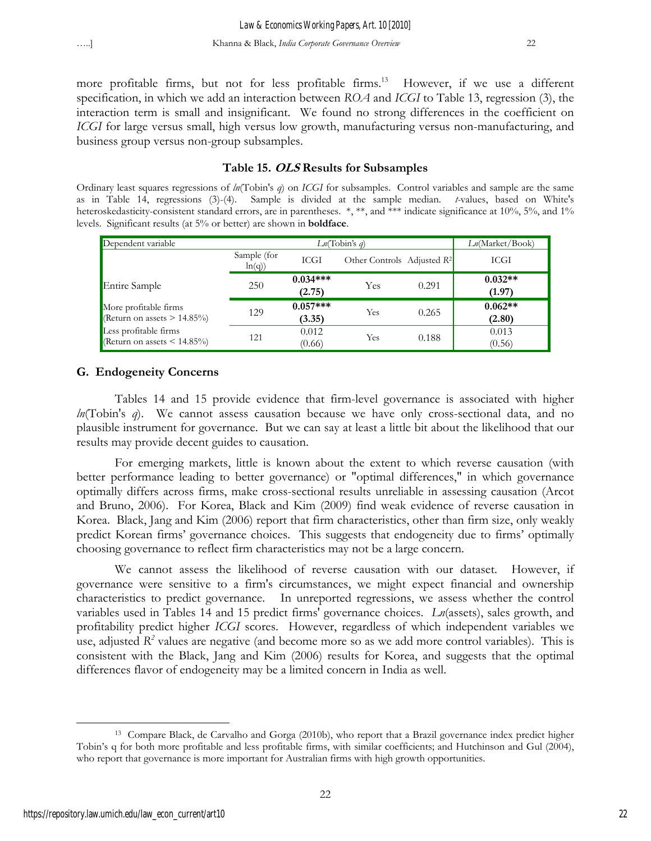more profitable firms, but not for less profitable firms.<sup>13</sup> However, if we use a different specification, in which we add an interaction between *ROA* and *ICGI* to Table 13, regression (3), the interaction term is small and insignificant. We found no strong differences in the coefficient on *ICGI* for large versus small, high versus low growth, manufacturing versus non-manufacturing, and business group versus non-group subsamples.

## **Table 15. OLS Results for Subsamples**

Ordinary least squares regressions of *ln*(Tobin's *q*) on *ICGI* for subsamples. Control variables and sample are the same as in Table 14, regressions (3)-(4). Sample is divided at the sample median. *t-*values, based on White's heteroskedasticity-consistent standard errors, are in parentheses. \*,\*\*, and \*\*\* indicate significance at 10%, 5%, and 1% levels. Significant results (at 5% or better) are shown in **boldface**.

| Dependent variable<br>Ln(Tobin's q)                      |                      |                      |                                        |       | Ln(Market/Book)     |
|----------------------------------------------------------|----------------------|----------------------|----------------------------------------|-------|---------------------|
|                                                          | Sample (for<br>ln(q) | ICGI                 | Other Controls Adjusted R <sup>2</sup> |       | ICGI                |
| Entire Sample                                            | 250                  | $0.034***$<br>(2.75) | Yes                                    | 0.291 | $0.032**$<br>(1.97) |
| More profitable firms<br>Return on assets $> 14.85\%$    | 129                  | $0.057***$<br>(3.35) | Yes                                    | 0.265 | $0.062**$<br>(2.80) |
| Less profitable firms<br>Return on assets $\leq$ 14.85%) | 121                  | 0.012<br>(0.66)      | Yes                                    | 0.188 | 0.013<br>(0.56)     |

# **G. Endogeneity Concerns**

Tables 14 and 15 provide evidence that firm-level governance is associated with higher *ln*(Tobin's *q*). We cannot assess causation because we have only cross-sectional data, and no plausible instrument for governance. But we can say at least a little bit about the likelihood that our results may provide decent guides to causation.

For emerging markets, little is known about the extent to which reverse causation (with better performance leading to better governance) or "optimal differences," in which governance optimally differs across firms, make cross-sectional results unreliable in assessing causation (Arcot and Bruno, 2006). For Korea, Black and Kim (2009) find weak evidence of reverse causation in Korea. Black, Jang and Kim (2006) report that firm characteristics, other than firm size, only weakly predict Korean firms' governance choices. This suggests that endogeneity due to firms' optimally choosing governance to reflect firm characteristics may not be a large concern.

We cannot assess the likelihood of reverse causation with our dataset. However, if governance were sensitive to a firm's circumstances, we might expect financial and ownership characteristics to predict governance. In unreported regressions, we assess whether the control variables used in Tables 14 and 15 predict firms' governance choices. *Ln*(assets), sales growth, and profitability predict higher *ICGI* scores. However, regardless of which independent variables we use, adjusted  $R^2$  values are negative (and become more so as we add more control variables). This is consistent with the Black, Jang and Kim (2006) results for Korea, and suggests that the optimal differences flavor of endogeneity may be a limited concern in India as well.

 $\overline{a}$ 13 Compare Black, de Carvalho and Gorga (2010b), who report that a Brazil governance index predict higher Tobin's q for both more profitable and less profitable firms, with similar coefficients; and Hutchinson and Gul (2004), who report that governance is more important for Australian firms with high growth opportunities.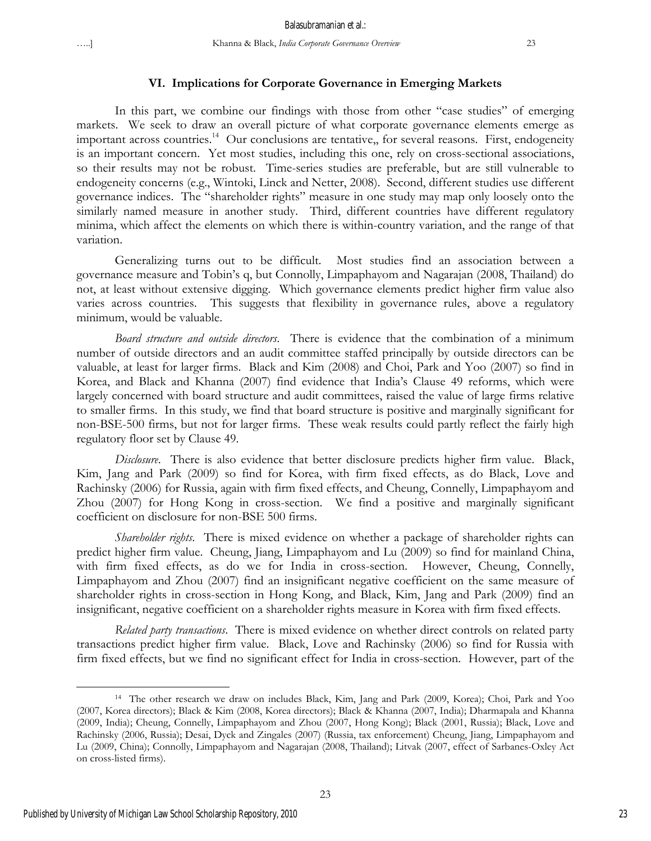#### **VI. Implications for Corporate Governance in Emerging Markets**

In this part, we combine our findings with those from other "case studies" of emerging markets. We seek to draw an overall picture of what corporate governance elements emerge as important across countries.<sup>14</sup> Our conclusions are tentative,, for several reasons. First, endogeneity is an important concern. Yet most studies, including this one, rely on cross-sectional associations, so their results may not be robust. Time-series studies are preferable, but are still vulnerable to endogeneity concerns (e.g., Wintoki, Linck and Netter, 2008). Second, different studies use different governance indices. The "shareholder rights" measure in one study may map only loosely onto the similarly named measure in another study. Third, different countries have different regulatory minima, which affect the elements on which there is within-country variation, and the range of that variation.

Generalizing turns out to be difficult. Most studies find an association between a governance measure and Tobin's q, but Connolly, Limpaphayom and Nagarajan (2008, Thailand) do not, at least without extensive digging. Which governance elements predict higher firm value also varies across countries. This suggests that flexibility in governance rules, above a regulatory minimum, would be valuable.

*Board structure and outside directors*. There is evidence that the combination of a minimum number of outside directors and an audit committee staffed principally by outside directors can be valuable, at least for larger firms. Black and Kim (2008) and Choi, Park and Yoo (2007) so find in Korea, and Black and Khanna (2007) find evidence that India's Clause 49 reforms, which were largely concerned with board structure and audit committees, raised the value of large firms relative to smaller firms. In this study, we find that board structure is positive and marginally significant for non-BSE-500 firms, but not for larger firms. These weak results could partly reflect the fairly high regulatory floor set by Clause 49.

*Disclosure*. There is also evidence that better disclosure predicts higher firm value. Black, Kim, Jang and Park (2009) so find for Korea, with firm fixed effects, as do Black, Love and Rachinsky (2006) for Russia, again with firm fixed effects, and Cheung, Connelly, Limpaphayom and Zhou (2007) for Hong Kong in cross-section. We find a positive and marginally significant coefficient on disclosure for non-BSE 500 firms.

*Shareholder rights*. There is mixed evidence on whether a package of shareholder rights can predict higher firm value. Cheung, Jiang, Limpaphayom and Lu (2009) so find for mainland China, with firm fixed effects, as do we for India in cross-section. However, Cheung, Connelly, Limpaphayom and Zhou (2007) find an insignificant negative coefficient on the same measure of shareholder rights in cross-section in Hong Kong, and Black, Kim, Jang and Park (2009) find an insignificant, negative coefficient on a shareholder rights measure in Korea with firm fixed effects.

*Related party transactions*. There is mixed evidence on whether direct controls on related party transactions predict higher firm value. Black, Love and Rachinsky (2006) so find for Russia with firm fixed effects, but we find no significant effect for India in cross-section. However, part of the

<sup>14</sup> The other research we draw on includes Black, Kim, Jang and Park (2009, Korea); Choi, Park and Yoo (2007, Korea directors); Black & Kim (2008, Korea directors); Black & Khanna (2007, India); Dharmapala and Khanna (2009, India); Cheung, Connelly, Limpaphayom and Zhou (2007, Hong Kong); Black (2001, Russia); Black, Love and Rachinsky (2006, Russia); Desai, Dyck and Zingales (2007) (Russia, tax enforcement) Cheung, Jiang, Limpaphayom and Lu (2009, China); Connolly, Limpaphayom and Nagarajan (2008, Thailand); Litvak (2007, effect of Sarbanes-Oxley Act on cross-listed firms).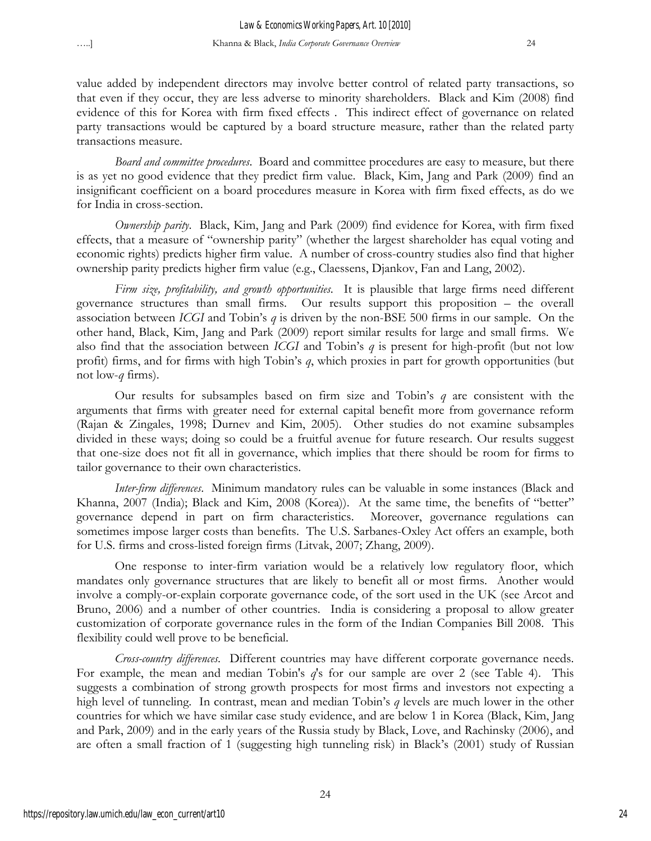value added by independent directors may involve better control of related party transactions, so that even if they occur, they are less adverse to minority shareholders. Black and Kim (2008) find evidence of this for Korea with firm fixed effects . This indirect effect of governance on related party transactions would be captured by a board structure measure, rather than the related party transactions measure.

*Board and committee procedures*. Board and committee procedures are easy to measure, but there is as yet no good evidence that they predict firm value. Black, Kim, Jang and Park (2009) find an insignificant coefficient on a board procedures measure in Korea with firm fixed effects, as do we for India in cross-section.

*Ownership parity*. Black, Kim, Jang and Park (2009) find evidence for Korea, with firm fixed effects, that a measure of "ownership parity" (whether the largest shareholder has equal voting and economic rights) predicts higher firm value. A number of cross-country studies also find that higher ownership parity predicts higher firm value (e.g., Claessens, Djankov, Fan and Lang, 2002).

*Firm size, profitability, and growth opportunities*. It is plausible that large firms need different governance structures than small firms. Our results support this proposition – the overall association between *ICGI* and Tobin's *q* is driven by the non-BSE 500 firms in our sample. On the other hand, Black, Kim, Jang and Park (2009) report similar results for large and small firms. We also find that the association between *ICGI* and Tobin's *q* is present for high-profit (but not low profit) firms, and for firms with high Tobin's *q*, which proxies in part for growth opportunities (but not low-*q* firms).

Our results for subsamples based on firm size and Tobin's *q* are consistent with the arguments that firms with greater need for external capital benefit more from governance reform (Rajan & Zingales, 1998; Durnev and Kim, 2005). Other studies do not examine subsamples divided in these ways; doing so could be a fruitful avenue for future research. Our results suggest that one-size does not fit all in governance, which implies that there should be room for firms to tailor governance to their own characteristics.

*Inter-firm differences*. Minimum mandatory rules can be valuable in some instances (Black and Khanna, 2007 (India); Black and Kim, 2008 (Korea)). At the same time, the benefits of "better" governance depend in part on firm characteristics. Moreover, governance regulations can sometimes impose larger costs than benefits. The U.S. Sarbanes-Oxley Act offers an example, both for U.S. firms and cross-listed foreign firms (Litvak, 2007; Zhang, 2009).

One response to inter-firm variation would be a relatively low regulatory floor, which mandates only governance structures that are likely to benefit all or most firms. Another would involve a comply-or-explain corporate governance code, of the sort used in the UK (see Arcot and Bruno, 2006) and a number of other countries. India is considering a proposal to allow greater customization of corporate governance rules in the form of the Indian Companies Bill 2008. This flexibility could well prove to be beneficial.

*Cross-country differences*. Different countries may have different corporate governance needs. For example, the mean and median Tobin's *q*'s for our sample are over 2 (see Table 4). This suggests a combination of strong growth prospects for most firms and investors not expecting a high level of tunneling. In contrast, mean and median Tobin's *q* levels are much lower in the other countries for which we have similar case study evidence, and are below 1 in Korea (Black, Kim, Jang and Park, 2009) and in the early years of the Russia study by Black, Love, and Rachinsky (2006), and are often a small fraction of 1 (suggesting high tunneling risk) in Black's (2001) study of Russian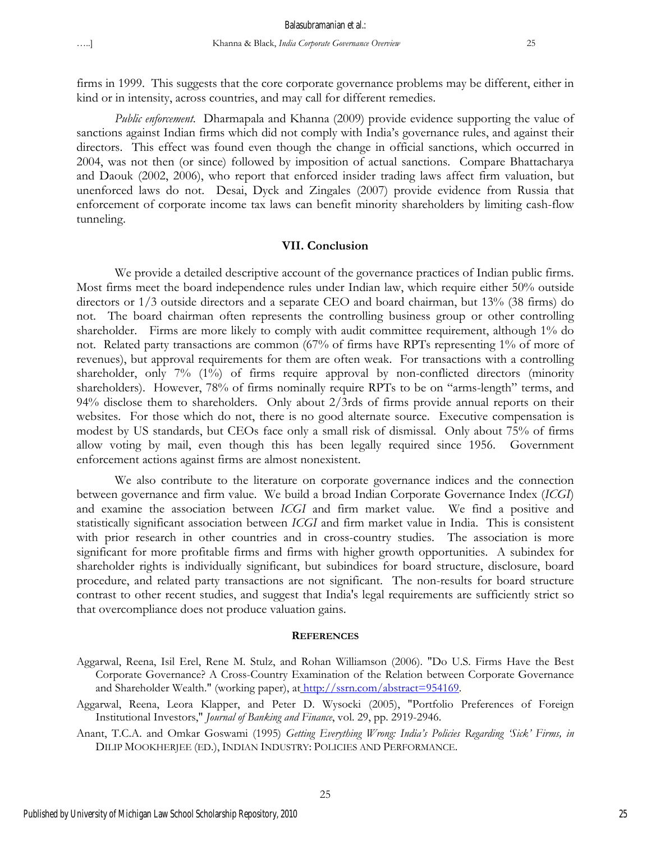firms in 1999. This suggests that the core corporate governance problems may be different, either in kind or in intensity, across countries, and may call for different remedies.

*Public enforcement*. Dharmapala and Khanna (2009) provide evidence supporting the value of sanctions against Indian firms which did not comply with India's governance rules, and against their directors. This effect was found even though the change in official sanctions, which occurred in 2004, was not then (or since) followed by imposition of actual sanctions. Compare Bhattacharya and Daouk (2002, 2006), who report that enforced insider trading laws affect firm valuation, but unenforced laws do not. Desai, Dyck and Zingales (2007) provide evidence from Russia that enforcement of corporate income tax laws can benefit minority shareholders by limiting cash-flow tunneling.

#### **VII. Conclusion**

We provide a detailed descriptive account of the governance practices of Indian public firms. Most firms meet the board independence rules under Indian law, which require either 50% outside directors or 1/3 outside directors and a separate CEO and board chairman, but 13% (38 firms) do not. The board chairman often represents the controlling business group or other controlling shareholder. Firms are more likely to comply with audit committee requirement, although 1% do not. Related party transactions are common (67% of firms have RPTs representing 1% of more of revenues), but approval requirements for them are often weak. For transactions with a controlling shareholder, only 7% (1%) of firms require approval by non-conflicted directors (minority shareholders). However, 78% of firms nominally require RPTs to be on "arms-length" terms, and 94% disclose them to shareholders. Only about 2/3rds of firms provide annual reports on their websites. For those which do not, there is no good alternate source. Executive compensation is modest by US standards, but CEOs face only a small risk of dismissal. Only about 75% of firms allow voting by mail, even though this has been legally required since 1956. Government enforcement actions against firms are almost nonexistent.

We also contribute to the literature on corporate governance indices and the connection between governance and firm value. We build a broad Indian Corporate Governance Index (*ICGI*) and examine the association between *ICGI* and firm market value. We find a positive and statistically significant association between *ICGI* and firm market value in India. This is consistent with prior research in other countries and in cross-country studies. The association is more significant for more profitable firms and firms with higher growth opportunities. A subindex for shareholder rights is individually significant, but subindices for board structure, disclosure, board procedure, and related party transactions are not significant. The non-results for board structure contrast to other recent studies, and suggest that India's legal requirements are sufficiently strict so that overcompliance does not produce valuation gains.

#### **REFERENCES**

- Aggarwal, Reena, Isil Erel, Rene M. Stulz, and Rohan Williamson (2006). "Do U.S. Firms Have the Best Corporate Governance? A Cross-Country Examination of the Relation between Corporate Governance and Shareholder Wealth." (working paper), at http://ssrn.com/abstract=954169.
- Aggarwal, Reena, Leora Klapper, and Peter D. Wysocki (2005), "Portfolio Preferences of Foreign Institutional Investors," *Journal of Banking and Finance*, vol. 29, pp. 2919-2946.
- Anant, T.C.A. and Omkar Goswami (1995) *Getting Everything Wrong: India's Policies Regarding 'Sick' Firms, in* DILIP MOOKHERJEE (ED.), INDIAN INDUSTRY: POLICIES AND PERFORMANCE.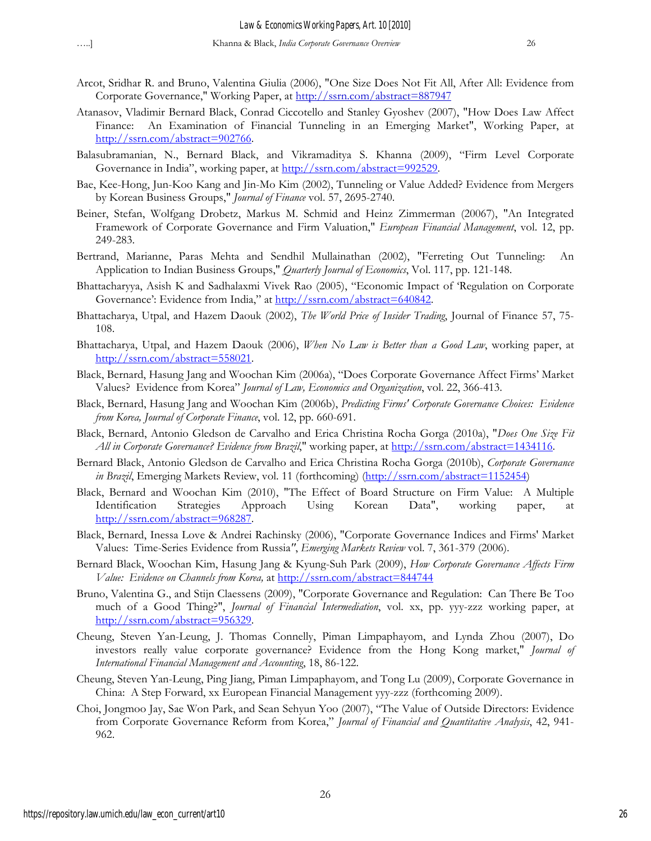- Arcot, Sridhar R. and Bruno, Valentina Giulia (2006), "One Size Does Not Fit All, After All: Evidence from Corporate Governance," Working Paper, at http://ssrn.com/abstract=887947
- Atanasov, Vladimir Bernard Black, Conrad Ciccotello and Stanley Gyoshev (2007), "How Does Law Affect Finance: An Examination of Financial Tunneling in an Emerging Market", Working Paper, at http://ssrn.com/abstract=902766.
- Balasubramanian, N., Bernard Black, and Vikramaditya S. Khanna (2009), "Firm Level Corporate Governance in India", working paper, at http://ssrn.com/abstract=992529.
- Bae, Kee-Hong, Jun-Koo Kang and Jin-Mo Kim (2002), Tunneling or Value Added? Evidence from Mergers by Korean Business Groups," *Journal of Finance* vol. 57, 2695-2740.
- Beiner, Stefan, Wolfgang Drobetz, Markus M. Schmid and Heinz Zimmerman (20067), "An Integrated Framework of Corporate Governance and Firm Valuation," *European Financial Management*, vol. 12, pp. 249-283.
- Bertrand, Marianne, Paras Mehta and Sendhil Mullainathan (2002), "Ferreting Out Tunneling: An Application to Indian Business Groups," *Quarterly Journal of Economics*, Vol. 117, pp. 121-148.
- Bhattacharyya, Asish K and Sadhalaxmi Vivek Rao (2005), "Economic Impact of 'Regulation on Corporate Governance': Evidence from India," at http://ssrn.com/abstract=640842.
- Bhattacharya, Utpal, and Hazem Daouk (2002), *The World Price of Insider Trading*, Journal of Finance 57, 75- 108.
- Bhattacharya, Utpal, and Hazem Daouk (2006), *When No Law is Better than a Good Law*, working paper, at http://ssrn.com/abstract=558021.
- Black, Bernard, Hasung Jang and Woochan Kim (2006a), "Does Corporate Governance Affect Firms' Market Values? Evidence from Korea" *Journal of Law, Economics and Organization*, vol. 22, 366-413.
- Black, Bernard, Hasung Jang and Woochan Kim (2006b), *Predicting Firms' Corporate Governance Choices: Evidence from Korea, Journal of Corporate Finance*, vol. 12, pp. 660-691.
- Black, Bernard, Antonio Gledson de Carvalho and Erica Christina Rocha Gorga (2010a), "*Does One Size Fit All in Corporate Governance? Evidence from Brazil*," working paper, at http://ssrn.com/abstract=1434116.
- Bernard Black, Antonio Gledson de Carvalho and Erica Christina Rocha Gorga (2010b), *Corporate Governance in Brazil*, Emerging Markets Review, vol. 11 (forthcoming) (http://ssrn.com/abstract=1152454)
- Black, Bernard and Woochan Kim (2010), "The Effect of Board Structure on Firm Value: A Multiple Identification Strategies Approach Using Korean Data", working paper, at http://ssrn.com/abstract=968287.
- Black, Bernard, Inessa Love & Andrei Rachinsky (2006), "Corporate Governance Indices and Firms' Market Values: Time-Series Evidence from Russia*"*, *Emerging Markets Review* vol. 7, 361-379 (2006).
- Bernard Black, Woochan Kim, Hasung Jang & Kyung-Suh Park (2009), *How Corporate Governance Affects Firm Value: Evidence on Channels from Korea*, at http://ssrn.com/abstract=844744
- Bruno, Valentina G., and Stijn Claessens (2009), "Corporate Governance and Regulation: Can There Be Too much of a Good Thing?", *Journal of Financial Intermediation*, vol. xx, pp. yyy-zzz working paper, at http://ssrn.com/abstract=956329.
- Cheung, Steven Yan-Leung, J. Thomas Connelly, Piman Limpaphayom, and Lynda Zhou (2007), Do investors really value corporate governance? Evidence from the Hong Kong market," *Journal of International Financial Management and Accounting*, 18, 86-122.
- Cheung, Steven Yan-Leung, Ping Jiang, Piman Limpaphayom, and Tong Lu (2009), Corporate Governance in China: A Step Forward, xx European Financial Management yyy-zzz (forthcoming 2009).
- Choi, Jongmoo Jay, Sae Won Park, and Sean Sehyun Yoo (2007), "The Value of Outside Directors: Evidence from Corporate Governance Reform from Korea," *Journal of Financial and Quantitative Analysis*, 42, 941- 962.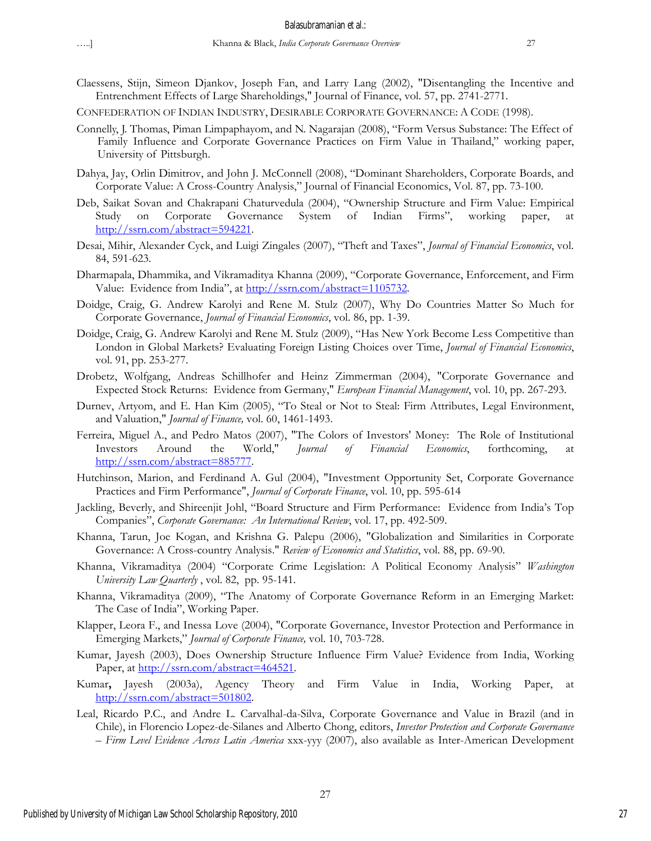- Claessens, Stijn, Simeon Djankov, Joseph Fan, and Larry Lang (2002), "Disentangling the Incentive and Entrenchment Effects of Large Shareholdings," Journal of Finance, vol. 57, pp. 2741-2771.
- CONFEDERATION OF INDIAN INDUSTRY, DESIRABLE CORPORATE GOVERNANCE: A CODE (1998).
- Connelly, J. Thomas, Piman Limpaphayom, and N. Nagarajan (2008), "Form Versus Substance: The Effect of Family Influence and Corporate Governance Practices on Firm Value in Thailand," working paper, University of Pittsburgh.
- Dahya, Jay, Orlin Dimitrov, and John J. McConnell (2008), "Dominant Shareholders, Corporate Boards, and Corporate Value: A Cross-Country Analysis," Journal of Financial Economics, Vol. 87, pp. 73-100.
- Deb, Saikat Sovan and Chakrapani Chaturvedula (2004), "Ownership Structure and Firm Value: Empirical Study on Corporate Governance System of Indian Firms", working paper, http://ssrn.com/abstract=594221.
- Desai, Mihir, Alexander Cyck, and Luigi Zingales (2007), "Theft and Taxes", *Journal of Financial Economics*, vol. 84, 591-623.
- Dharmapala, Dhammika, and Vikramaditya Khanna (2009), "Corporate Governance, Enforcement, and Firm Value: Evidence from India", at http://ssrn.com/abstract=1105732.
- Doidge, Craig, G. Andrew Karolyi and Rene M. Stulz (2007), Why Do Countries Matter So Much for Corporate Governance, *Journal of Financial Economics*, vol. 86, pp. 1-39.
- Doidge, Craig, G. Andrew Karolyi and Rene M. Stulz (2009), "Has New York Become Less Competitive than London in Global Markets? Evaluating Foreign Listing Choices over Time, *Journal of Financial Economics*, vol. 91, pp. 253-277.
- Drobetz, Wolfgang, Andreas Schillhofer and Heinz Zimmerman (2004), "Corporate Governance and Expected Stock Returns: Evidence from Germany," *European Financial Management*, vol. 10, pp. 267-293.
- Durnev, Artyom, and E. Han Kim (2005), "To Steal or Not to Steal: Firm Attributes, Legal Environment, and Valuation," *Journal of Finance,* vol. 60, 1461-1493.
- Ferreira, Miguel A., and Pedro Matos (2007), "The Colors of Investors' Money: The Role of Institutional Investors Around the World," *Journal of Financial Economics*, forthcoming, at http://ssrn.com/abstract=885777.
- Hutchinson, Marion, and Ferdinand A. Gul (2004), "Investment Opportunity Set, Corporate Governance Practices and Firm Performance", *Journal of Corporate Finance*, vol. 10, pp. 595-614
- Jackling, Beverly, and Shireenjit Johl, "Board Structure and Firm Performance: Evidence from India's Top Companies", *Corporate Governance: An International Review*, vol. 17, pp. 492-509.
- Khanna, Tarun, Joe Kogan, and Krishna G. Palepu (2006), "Globalization and Similarities in Corporate Governance: A Cross-country Analysis." *Review of Economics and Statistics*, vol. 88, pp. 69-90.
- Khanna, Vikramaditya (2004) "Corporate Crime Legislation: A Political Economy Analysis" *Washington University Law Quarterly* , vol. 82, pp. 95-141.
- Khanna, Vikramaditya (2009), "The Anatomy of Corporate Governance Reform in an Emerging Market: The Case of India", Working Paper.
- Klapper, Leora F., and Inessa Love (2004), "Corporate Governance, Investor Protection and Performance in Emerging Markets," *Journal of Corporate Finance,* vol. 10, 703-728.
- Kumar, Jayesh (2003), Does Ownership Structure Influence Firm Value? Evidence from India, Working Paper, at http://ssrn.com/abstract=464521.
- Kumar**,** Jayesh (2003a), Agency Theory and Firm Value in India, Working Paper, at http://ssrn.com/abstract=501802.
- Leal, Ricardo P.C., and Andre L. Carvalhal-da-Silva, Corporate Governance and Value in Brazil (and in Chile), in Florencio Lopez-de-Silanes and Alberto Chong, editors, *Investor Protection and Corporate Governance – Firm Level Evidence Across Latin America* xxx-yyy (2007), also available as Inter-American Development